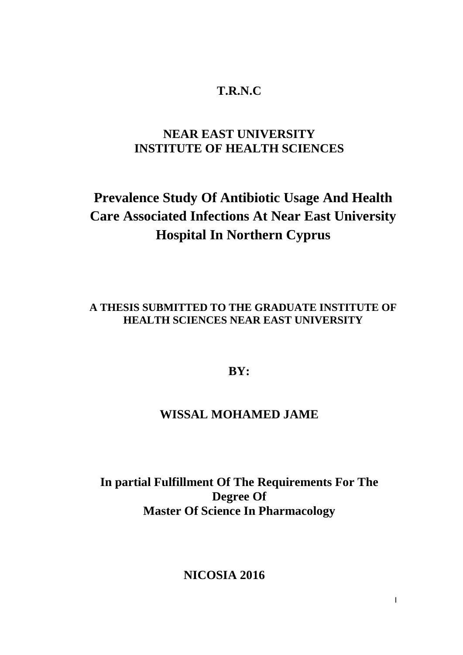## **T.R.N.C**

## **NEAR EAST UNIVERSITY INSTITUTE OF HEALTH SCIENCES**

# **Prevalence Study Of Antibiotic Usage And Health Care Associated Infections At Near East University Hospital In Northern Cyprus**

**A THESIS SUBMITTED TO THE GRADUATE INSTITUTE OF HEALTH SCIENCES NEAR EAST UNIVERSITY**

## **BY:**

## **WISSAL MOHAMED JAME**

**In partial Fulfillment Of The Requirements For The Degree Of Master Of Science In Pharmacology**

**NICOSIA 2016**

I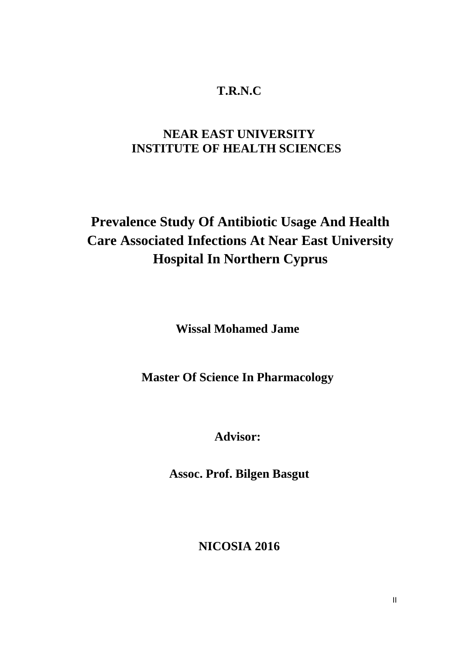## **T.R.N.C**

## **NEAR EAST UNIVERSITY INSTITUTE OF HEALTH SCIENCES**

# **Prevalence Study Of Antibiotic Usage And Health Care Associated Infections At Near East University Hospital In Northern Cyprus**

**Wissal Mohamed Jame**

**Master Of Science In Pharmacology**

**Advisor:**

**Assoc. Prof. Bilgen Basgut**

**NICOSIA 2016**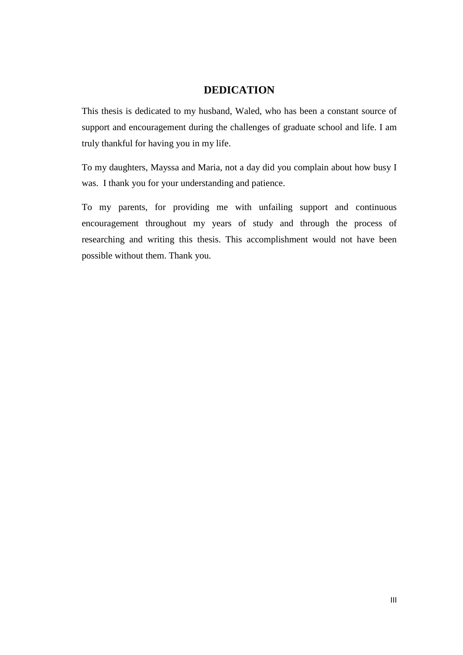## **DEDICATION**

This thesis is dedicated to my husband, Waled, who has been a constant source of support and encouragement during the challenges of graduate school and life. I am truly thankful for having you in my life.

To my daughters, Mayssa and Maria, not a day did you complain about how busy I was. I thank you for your understanding and patience.

To my parents, for providing me with unfailing support and continuous encouragement throughout my years of study and through the process of researching and writing this thesis. This accomplishment would not have been possible without them. Thank you.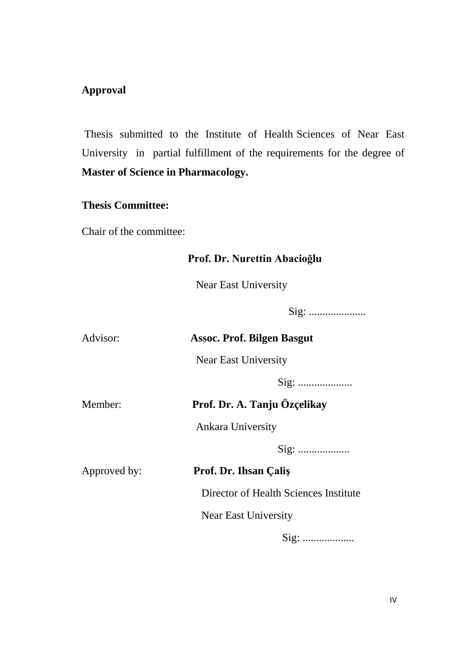## **Approval**

Thesis submitted to the Institute of Health Sciences of Near East University in partial fulfillment of the requirements for the degree of **Master of Science in Pharmacology.**

## **Thesis Committee:**

Chair of the committee:

## **Prof. Dr. Nurettin Abacioğlu**

**Near East University** 

Sig: .....................

| Advisor:     | <b>Assoc. Prof. Bilgen Basgut</b>     |  |  |
|--------------|---------------------------------------|--|--|
|              | <b>Near East University</b>           |  |  |
|              |                                       |  |  |
| Member:      | Prof. Dr. A. Tanju Özçelikay          |  |  |
|              | <b>Ankara University</b>              |  |  |
|              |                                       |  |  |
| Approved by: | Prof. Dr. Ihsan Çaliş                 |  |  |
|              | Director of Health Sciences Institute |  |  |
|              | <b>Near East University</b>           |  |  |
|              |                                       |  |  |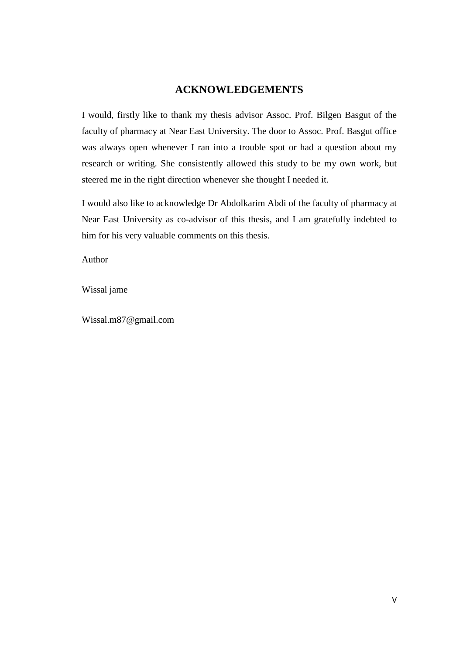## **ACKNOWLEDGEMENTS**

I would, firstly like to thank my thesis advisor Assoc. Prof. Bilgen Basgut of the faculty of pharmacy at Near East University. The door to Assoc. Prof. Basgut office was always open whenever I ran into a trouble spot or had a question about my research or writing. She consistently allowed this study to be my own work, but steered me in the right direction whenever she thought I needed it.

I would also like to acknowledge Dr Abdolkarim Abdi of the faculty of pharmacy at Near East University as co-advisor of this thesis, and I am gratefully indebted to him for his very valuable comments on this thesis.

Author

Wissal jame

Wissal.m87@gmail.com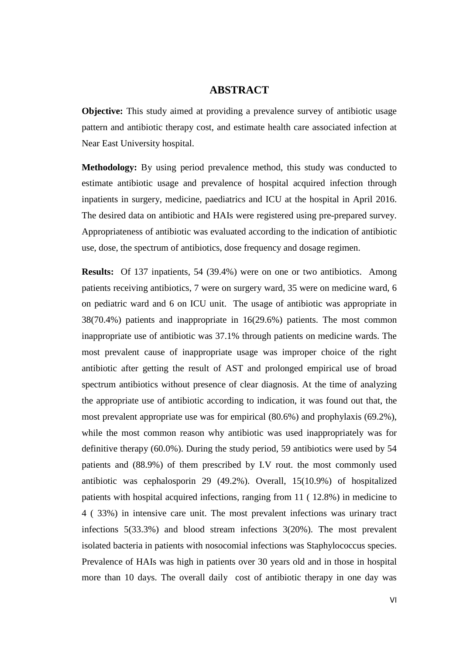### **ABSTRACT**

**Objective:** This study aimed at providing a prevalence survey of antibiotic usage pattern and antibiotic therapy cost, and estimate health care associated infection at Near East University hospital.

**Methodology:** By using period prevalence method, this study was conducted to estimate antibiotic usage and prevalence of hospital acquired infection through inpatients in surgery, medicine, paediatrics and ICU at the hospital in April 2016. The desired data on antibiotic and HAIs were registered using pre-prepared survey. Appropriateness of antibiotic was evaluated according to the indication of antibiotic use, dose, the spectrum of antibiotics, dose frequency and dosage regimen.

**Results:** Of 137 inpatients, 54 (39.4%) were on one or two antibiotics. Among patients receiving antibiotics, 7 were on surgery ward, 35 were on medicine ward, 6 on pediatric ward and 6 on ICU unit. The usage of antibiotic was appropriate in 38(70.4%) patients and inappropriate in 16(29.6%) patients. The most common inappropriate use of antibiotic was 37.1% through patients on medicine wards. The most prevalent cause of inappropriate usage was improper choice of the right antibiotic after getting the result of AST and prolonged empirical use of broad spectrum antibiotics without presence of clear diagnosis. At the time of analyzing the appropriate use of antibiotic according to indication, it was found out that, the most prevalent appropriate use was for empirical (80.6%) and prophylaxis (69.2%), while the most common reason why antibiotic was used inappropriately was for definitive therapy (60.0%). During the study period, 59 antibiotics were used by 54 patients and (88.9%) of them prescribed by I.V rout. the most commonly used antibiotic was cephalosporin 29 (49.2%). Overall, 15(10.9%) of hospitalized patients with hospital acquired infections, ranging from 11 ( 12.8%) in medicine to 4 ( 33%) in intensive care unit. The most prevalent infections was urinary tract infections 5(33.3%) and blood stream infections 3(20%). The most prevalent isolated bacteria in patients with nosocomial infections was Staphylococcus species. Prevalence of HAIs was high in patients over 30 years old and in those in hospital more than 10 days. The overall daily cost of antibiotic therapy in one day was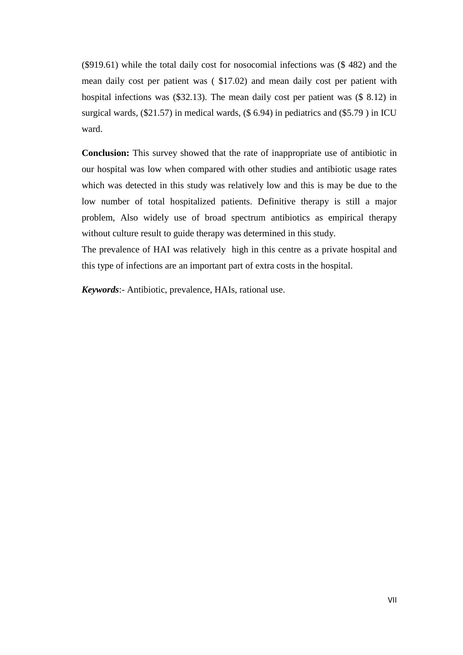(\$919.61) while the total daily cost for nosocomial infections was (\$ 482) and the mean daily cost per patient was ( \$17.02) and mean daily cost per patient with hospital infections was (\$32.13). The mean daily cost per patient was (\$ 8.12) in surgical wards, (\$21.57) in medical wards, (\$6.94) in pediatrics and (\$5.79) in ICU ward.

**Conclusion:** This survey showed that the rate of inappropriate use of antibiotic in our hospital was low when compared with other studies and antibiotic usage rates which was detected in this study was relatively low and this is may be due to the low number of total hospitalized patients. Definitive therapy is still a major problem, Also widely use of broad spectrum antibiotics as empirical therapy without culture result to guide therapy was determined in this study.

The prevalence of HAI was relatively high in this centre as a private hospital and this type of infections are an important part of extra costs in the hospital.

*Keywords*:- Antibiotic, prevalence, HAIs, rational use.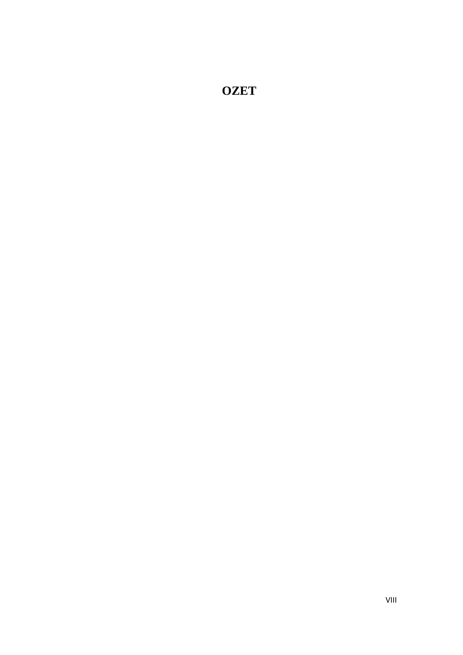**OZET**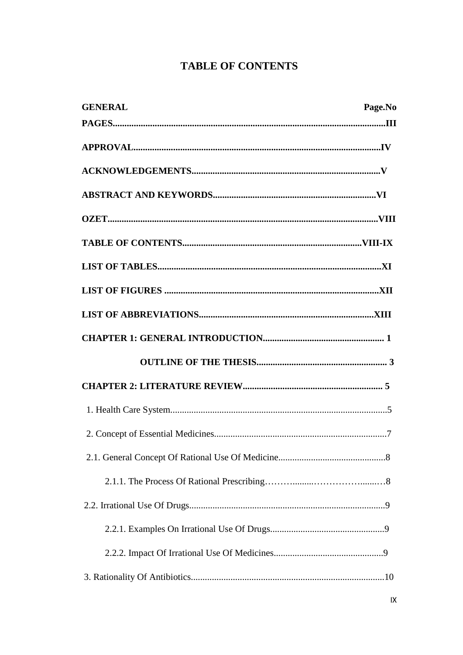## **TABLE OF CONTENTS**

| <b>GENERAL</b> | Page.No |
|----------------|---------|
|                |         |
|                |         |
|                |         |
|                |         |
|                |         |
|                |         |
|                |         |
|                |         |
|                |         |
|                |         |
|                |         |
|                |         |
|                |         |
|                |         |
|                |         |
|                |         |
|                |         |
|                |         |
|                |         |
|                |         |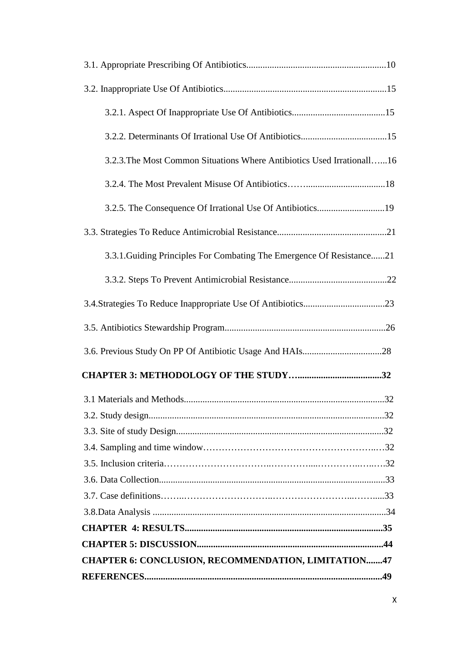| 3.2.3. The Most Common Situations Where Antibiotics Used Irrationall16 |  |
|------------------------------------------------------------------------|--|
|                                                                        |  |
| 3.2.5. The Consequence Of Irrational Use Of Antibiotics19              |  |
|                                                                        |  |
| 3.3.1. Guiding Principles For Combating The Emergence Of Resistance21  |  |
|                                                                        |  |
|                                                                        |  |
|                                                                        |  |
|                                                                        |  |
|                                                                        |  |
|                                                                        |  |
|                                                                        |  |
|                                                                        |  |
|                                                                        |  |
|                                                                        |  |
|                                                                        |  |
|                                                                        |  |
|                                                                        |  |
|                                                                        |  |
|                                                                        |  |
| <b>CHAPTER 6: CONCLUSION, RECOMMENDATION, LIMITATION47</b>             |  |
|                                                                        |  |
|                                                                        |  |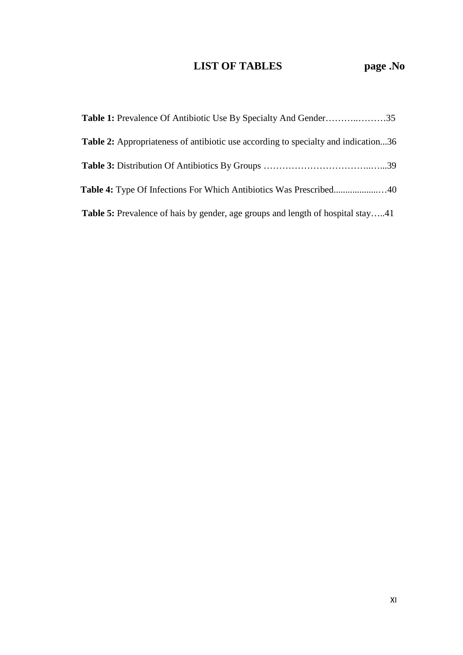# **LIST OF TABLES page .No**

| <b>Table 2:</b> Appropriateness of antibiotic use according to specialty and indication36 |  |
|-------------------------------------------------------------------------------------------|--|
|                                                                                           |  |
|                                                                                           |  |
| <b>Table 5:</b> Prevalence of hais by gender, age groups and length of hospital stay41    |  |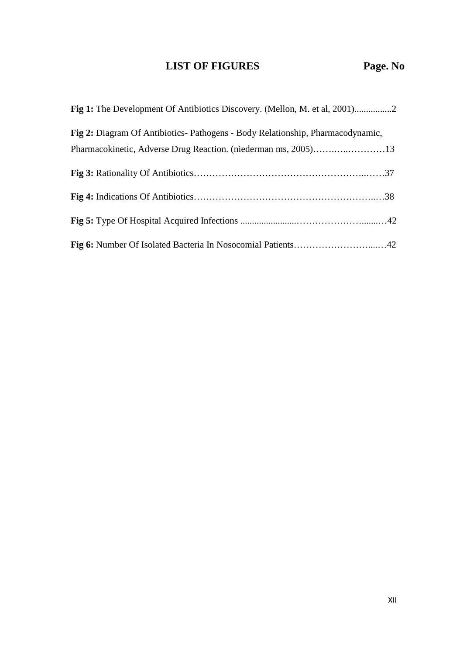## **LIST OF FIGURES Page. No**

| Fig 2: Diagram Of Antibiotics-Pathogens - Body Relationship, Pharmacodynamic, |
|-------------------------------------------------------------------------------|
|                                                                               |
|                                                                               |
|                                                                               |
|                                                                               |
|                                                                               |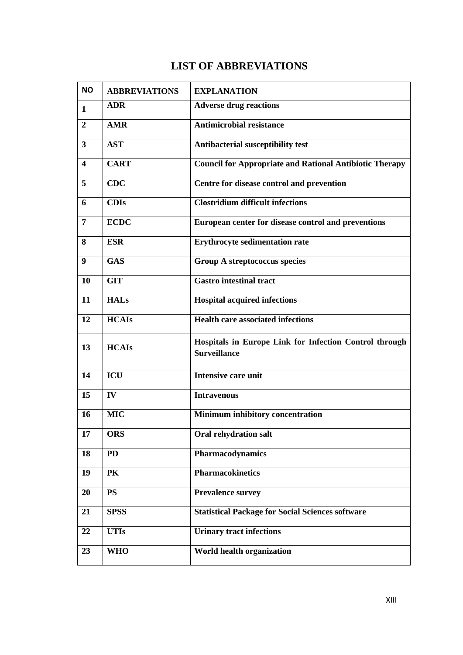## **LIST OF ABBREVIATIONS**

| <b>NO</b> | <b>ABBREVIATIONS</b> | <b>EXPLANATION</b>                                                            |
|-----------|----------------------|-------------------------------------------------------------------------------|
| 1         | <b>ADR</b>           | <b>Adverse drug reactions</b>                                                 |
| 2         | <b>AMR</b>           | <b>Antimicrobial resistance</b>                                               |
| 3         | <b>AST</b>           | Antibacterial susceptibility test                                             |
| 4         | <b>CART</b>          | <b>Council for Appropriate and Rational Antibiotic Therapy</b>                |
| 5         | <b>CDC</b>           | Centre for disease control and prevention                                     |
| 6         | <b>CDIs</b>          | <b>Clostridium difficult infections</b>                                       |
| 7         | <b>ECDC</b>          | European center for disease control and preventions                           |
| 8         | <b>ESR</b>           | <b>Erythrocyte sedimentation rate</b>                                         |
| 9         | <b>GAS</b>           | Group A streptococcus species                                                 |
| 10        | <b>GIT</b>           | <b>Gastro intestinal tract</b>                                                |
| 11        | <b>HALs</b>          | <b>Hospital acquired infections</b>                                           |
| 12        | <b>HCAIs</b>         | <b>Health care associated infections</b>                                      |
| 13        | <b>HCAIs</b>         | Hospitals in Europe Link for Infection Control through<br><b>Surveillance</b> |
| 14        | ICU                  | <b>Intensive care unit</b>                                                    |
| 15        | IV                   | <b>Intravenous</b>                                                            |
| 16        | <b>MIC</b>           | Minimum inhibitory concentration                                              |
| 17        | <b>ORS</b>           | <b>Oral rehydration salt</b>                                                  |
| 18        | <b>PD</b>            | Pharmacodynamics                                                              |
| 19        | PK                   | <b>Pharmacokinetics</b>                                                       |
| 20        | <b>PS</b>            | <b>Prevalence survey</b>                                                      |
| 21        | <b>SPSS</b>          | <b>Statistical Package for Social Sciences software</b>                       |
| 22        | <b>UTIs</b>          | <b>Urinary tract infections</b>                                               |
| 23        | <b>WHO</b>           | World health organization                                                     |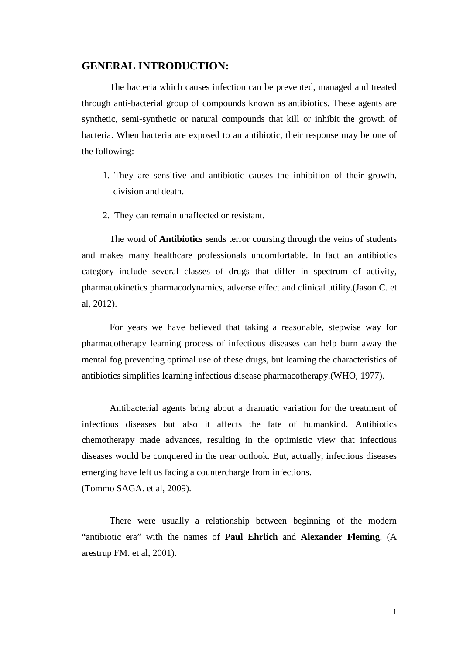## **GENERAL INTRODUCTION:**

The bacteria which causes infection can be prevented, managed and treated through anti-bacterial group of compounds known as antibiotics. These agents are synthetic, semi-synthetic or natural compounds that kill or inhibit the growth of bacteria. When bacteria are exposed to an antibiotic, their response may be one of the following:

- 1. They are sensitive and antibiotic causes the inhibition of their growth, division and death.
- 2. They can remain unaffected or resistant.

The word of **Antibiotics** sends terror coursing through the veins of students and makes many healthcare professionals uncomfortable. In fact an antibiotics category include several classes of drugs that differ in spectrum of activity, pharmacokinetics pharmacodynamics, adverse effect and clinical utility.(Jason C. et al, 2012).

For years we have believed that taking a reasonable, stepwise way for pharmacotherapy learning process of infectious diseases can help burn away the mental fog preventing optimal use of these drugs, but learning the characteristics of antibiotics simplifies learning infectious disease pharmacotherapy.(WHO, 1977).

Antibacterial agents bring about a dramatic variation for the treatment of infectious diseases but also it affects the fate of humankind. Antibiotics chemotherapy made advances, resulting in the optimistic view that infectious diseases would be conquered in the near outlook. But, actually, infectious diseases emerging have left us facing a countercharge from infections. (Tommo SAGA. et al, 2009).

There were usually a relationship between beginning of the modern "antibiotic era" with the names of **Paul Ehrlich** and **Alexander Fleming**. (A arestrup FM. et al, 2001).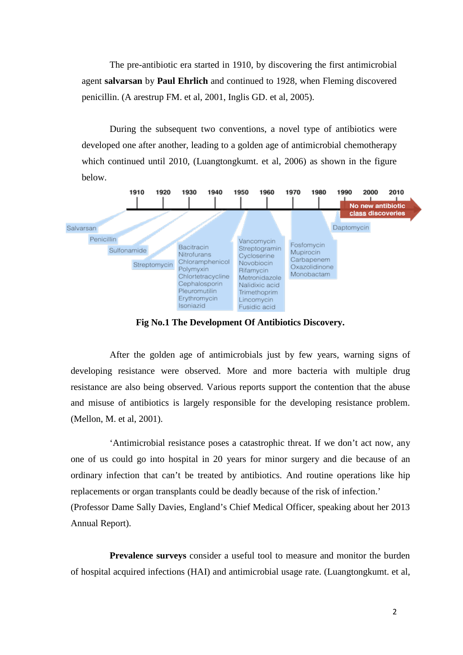The pre-antibiotic era started in 1910, by discovering the first antimicrobial agent **salvarsan** by **Paul Ehrlich** and continued to 1928, when Fleming discovered penicillin. (A arestrup FM. et al, 2001, Inglis GD. et al, 2005).

During the subsequent two conventions, a novel type of antibiotics were developed one after another, leading to a golden age of antimicrobial chemotherapy which continued until 2010, (Luangtongkumt. et al, 2006) as shown in the figure below.



**Fig No.1 The Development Of Antibiotics Discovery.**

After the golden age of antimicrobials just by few years, warning signs of developing resistance were observed. More and more bacteria with multiple drug resistance are also being observed. Various reports support the contention that the abuse and misuse of antibiotics is largely responsible for the developing resistance problem. (Mellon, M. et al, 2001).

'Antimicrobial resistance poses a catastrophic threat. If we don't act now, any one of us could go into hospital in 20 years for minor surgery and die because of an ordinary infection that can't be treated by antibiotics. And routine operations like hip replacements or organ transplants could be deadly because of the risk of infection.' (Professor Dame Sally Davies, England's Chief Medical Officer, speaking about her 2013 Annual Report).

**Prevalence surveys** consider a useful tool to measure and monitor the burden of hospital acquired infections (HAI) and antimicrobial usage rate. (Luangtongkumt. et al,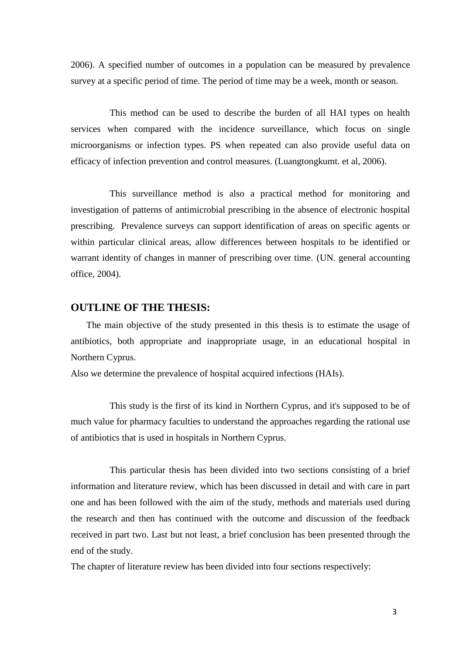2006). A specified number of outcomes in a population can be measured by prevalence survey at a specific period of time. The period of time may be a week, month or season.

This method can be used to describe the burden of all HAI types on health services when compared with the incidence surveillance, which focus on single microorganisms or infection types. PS when repeated can also provide useful data on efficacy of infection prevention and control measures. (Luangtongkumt. et al, 2006).

This surveillance method is also a practical method for monitoring and investigation of patterns of antimicrobial prescribing in the absence of electronic hospital prescribing. Prevalence surveys can support identification of areas on specific agents or within particular clinical areas, allow differences between hospitals to be identified or warrant identity of changes in manner of prescribing over time. (UN. general accounting office, 2004).

## **OUTLINE OF THE THESIS:**

 The main objective of the study presented in this thesis is to estimate the usage of antibiotics, both appropriate and inappropriate usage, in an educational hospital in Northern Cyprus.

Also we determine the prevalence of hospital acquired infections (HAIs).

This study is the first of its kind in Northern Cyprus, and it's supposed to be of much value for pharmacy faculties to understand the approaches regarding the rational use of antibiotics that is used in hospitals in Northern Cyprus.

This particular thesis has been divided into two sections consisting of a brief information and literature review, which has been discussed in detail and with care in part one and has been followed with the aim of the study, methods and materials used during the research and then has continued with the outcome and discussion of the feedback received in part two. Last but not least, a brief conclusion has been presented through the end of the study.

The chapter of literature review has been divided into four sections respectively: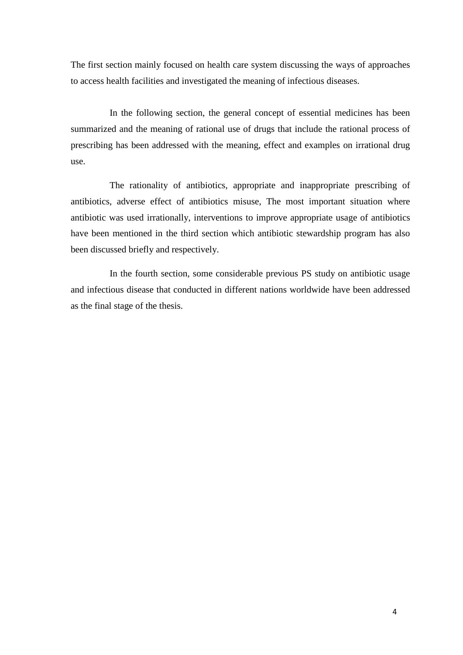The first section mainly focused on health care system discussing the ways of approaches to access health facilities and investigated the meaning of infectious diseases.

In the following section, the general concept of essential medicines has been summarized and the meaning of rational use of drugs that include the rational process of prescribing has been addressed with the meaning, effect and examples on irrational drug use.

The rationality of antibiotics, appropriate and inappropriate prescribing of antibiotics, adverse effect of antibiotics misuse, The most important situation where antibiotic was used irrationally, interventions to improve appropriate usage of antibiotics have been mentioned in the third section which antibiotic stewardship program has also been discussed briefly and respectively.

In the fourth section, some considerable previous PS study on antibiotic usage and infectious disease that conducted in different nations worldwide have been addressed as the final stage of the thesis.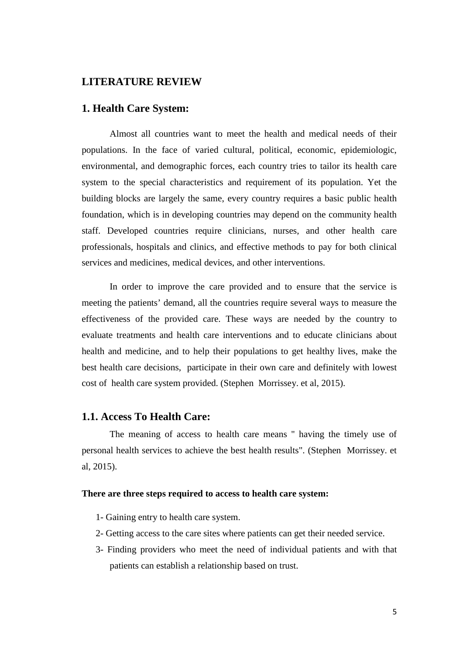### **LITERATURE REVIEW**

### **1. Health Care System:**

Almost all countries want to meet the health and medical needs of their populations. In the face of varied cultural, political, economic, epidemiologic, environmental, and demographic forces, each country tries to tailor its health care system to the special characteristics and requirement of its population. Yet the building blocks are largely the same, every country requires a basic public health foundation, which is in developing countries may depend on the community health staff. Developed countries require clinicians, nurses, and other health care professionals, hospitals and clinics, and effective methods to pay for both clinical services and medicines, medical devices, and other interventions.

In order to improve the care provided and to ensure that the service is meeting the patients' demand, all the countries require several ways to measure the effectiveness of the provided care. These ways are needed by the country to evaluate treatments and health care interventions and to educate clinicians about health and medicine, and to help their populations to get healthy lives, make the best health care decisions, participate in their own care and definitely with lowest cost of health care system provided. (Stephen Morrissey. et al, 2015).

### **1.1. Access To Health Care:**

The meaning of access to health care means '' having the timely use of personal health services to achieve the best health results". (Stephen Morrissey. et al, 2015).

#### **There are three steps required to access to health care system:**

- 1- Gaining entry to health care system.
- 2- Getting access to the care sites where patients can get their needed service.
- 3- Finding providers who meet the need of individual patients and with that patients can establish a relationship based on trust.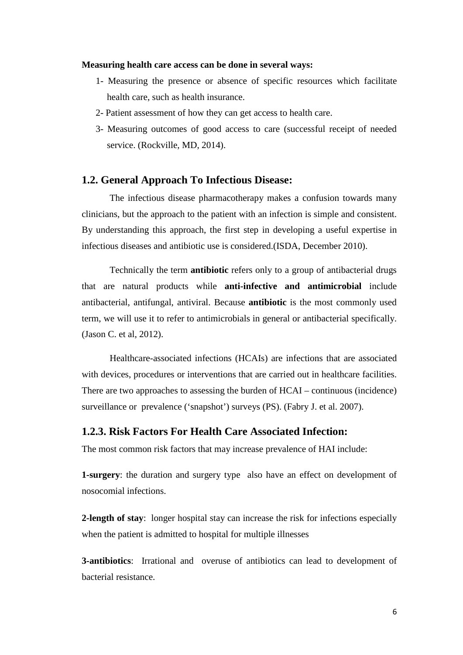#### **Measuring health care access can be done in several ways:**

- 1- Measuring the presence or absence of specific resources which facilitate health care, such as health insurance.
- 2- Patient assessment of how they can get access to health care.
- 3- Measuring outcomes of good access to care (successful receipt of needed service. (Rockville, MD, 2014).

### **1.2. General Approach To Infectious Disease:**

The infectious disease pharmacotherapy makes a confusion towards many clinicians, but the approach to the patient with an infection is simple and consistent. By understanding this approach, the first step in developing a useful expertise in infectious diseases and antibiotic use is considered.(ISDA, December 2010).

Technically the term **antibiotic** refers only to a group of antibacterial drugs that are natural products while **anti-infective and antimicrobial** include antibacterial, antifungal, antiviral. Because **antibiotic** is the most commonly used term, we will use it to refer to antimicrobials in general or antibacterial specifically. (Jason C. et al, 2012).

Healthcare-associated infections (HCAIs) are infections that are associated with devices, procedures or interventions that are carried out in healthcare facilities. There are two approaches to assessing the burden of HCAI – continuous (incidence) surveillance or prevalence ('snapshot') surveys (PS). (Fabry J. et al. 2007).

## **1.2.3. Risk Factors For Health Care Associated Infection:**

The most common risk factors that may increase prevalence of HAI include:

**1-surgery**: the duration and surgery type also have an effect on development of nosocomial infections.

**2-length of stay**: longer hospital stay can increase the risk for infections especially when the patient is admitted to hospital for multiple illnesses

**3-antibiotics**: Irrational and overuse of antibiotics can lead to development of bacterial resistance.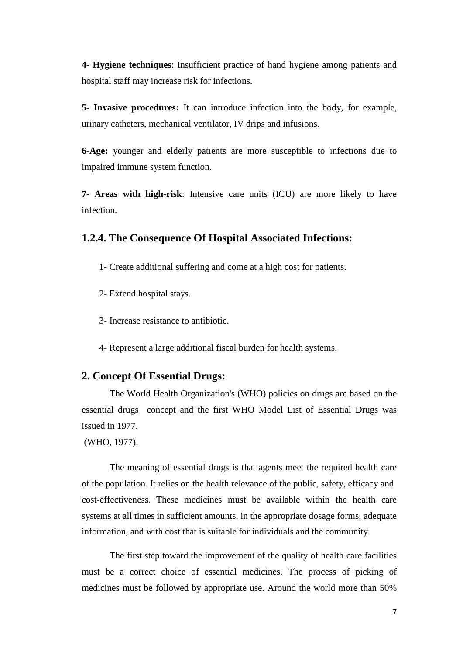**4- Hygiene techniques**: Insufficient practice of hand hygiene among patients and hospital staff may increase risk for infections.

**5- Invasive procedures:** It can introduce infection into the body, for example, urinary catheters, mechanical ventilator, IV drips and infusions.

**6**-**Age:** younger and elderly patients are more susceptible to infections due to impaired immune system function.

**7- Areas with high-risk**: Intensive care units (ICU) are more likely to have infection.

## **1.2.4. The Consequence Of Hospital Associated Infections:**

- 1- Create additional suffering and come at a high cost for patients.
- 2- Extend hospital stays.
- 3- Increase resistance to antibiotic.

4- Represent a large additional fiscal burden for health systems.

## **2. Concept Of Essential Drugs:**

The World Health Organization's (WHO) policies on drugs are based on the essential drugs concept and the first WHO Model List of Essential Drugs was issued in 1977.

(WHO, 1977).

The meaning of essential drugs is that agents meet the required health care of the population. It relies on the health relevance of the public, safety, efficacy and cost-effectiveness. These medicines must be available within the health care systems at all times in sufficient amounts, in the appropriate dosage forms, adequate information, and with cost that is suitable for individuals and the community.

The first step toward the improvement of the quality of health care facilities must be a correct choice of essential medicines. The process of picking of medicines must be followed by appropriate use. Around the world more than 50%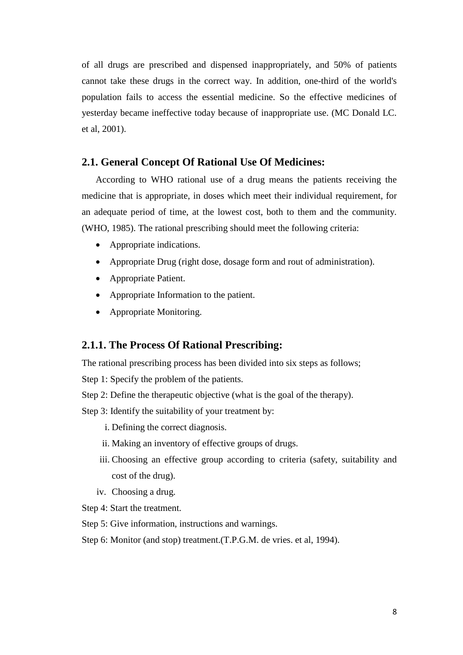of all drugs are prescribed and dispensed inappropriately, and 50% of patients cannot take these drugs in the correct way. In addition, one-third of the world's population fails to access the essential medicine. So the effective medicines of yesterday became ineffective today because of inappropriate use. (MC Donald LC. et al, 2001).

## **2.1. General Concept Of Rational Use Of Medicines:**

According to WHO rational use of a drug means the patients receiving the medicine that is appropriate, in doses which meet their individual requirement, for an adequate period of time, at the lowest cost, both to them and the community. (WHO, 1985). The rational prescribing should meet the following criteria:

- Appropriate indications.
- Appropriate Drug (right dose, dosage form and rout of administration).
- Appropriate Patient.
- Appropriate Information to the patient.
- Appropriate Monitoring.

## **2.1.1. The Process Of Rational Prescribing:**

The rational prescribing process has been divided into six steps as follows;

Step 1: Specify the problem of the patients.

Step 2: Define the therapeutic objective (what is the goal of the therapy).

Step 3: Identify the suitability of your treatment by:

- i. Defining the correct diagnosis.
- ii. Making an inventory of effective groups of drugs.
- iii. Choosing an effective group according to criteria (safety, suitability and cost of the drug).
- iv. Choosing a drug.

Step 4: Start the treatment.

- Step 5: Give information, instructions and warnings.
- Step 6: Monitor (and stop) treatment.(T.P.G.M. de vries. et al, 1994).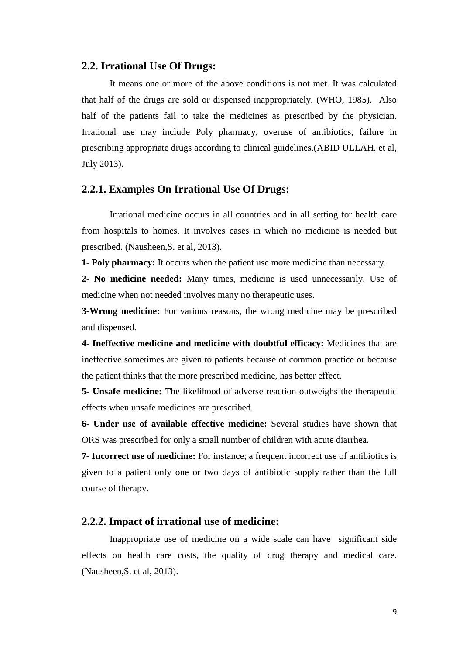### **2.2. Irrational Use Of Drugs:**

It means one or more of the above conditions is not met. It was calculated that half of the drugs are sold or dispensed inappropriately. (WHO, 1985). Also half of the patients fail to take the medicines as prescribed by the physician. Irrational use may include Poly pharmacy, overuse of antibiotics, failure in prescribing appropriate drugs according to clinical guidelines.(ABID ULLAH. et al, July 2013).

### **2.2.1. Examples On Irrational Use Of Drugs:**

Irrational medicine occurs in all countries and in all setting for health care from hospitals to homes. It involves cases in which no medicine is needed but prescribed. (Nausheen,S. et al, 2013).

**1- Poly pharmacy:** It occurs when the patient use more medicine than necessary.

**2- No medicine needed:** Many times, medicine is used unnecessarily. Use of medicine when not needed involves many no therapeutic uses.

**3-Wrong medicine:** For various reasons, the wrong medicine may be prescribed and dispensed.

**4- Ineffective medicine and medicine with doubtful efficacy:** Medicines that are ineffective sometimes are given to patients because of common practice or because the patient thinks that the more prescribed medicine, has better effect.

**5- Unsafe medicine:** The likelihood of adverse reaction outweighs the therapeutic effects when unsafe medicines are prescribed.

**6- Under use of available effective medicine:** Several studies have shown that ORS was prescribed for only a small number of children with acute diarrhea.

**7- Incorrect use of medicine:** For instance; a frequent incorrect use of antibiotics is given to a patient only one or two days of antibiotic supply rather than the full course of therapy.

### **2.2.2. Impact of irrational use of medicine:**

Inappropriate use of medicine on a wide scale can have significant side effects on health care costs, the quality of drug therapy and medical care. (Nausheen,S. et al, 2013).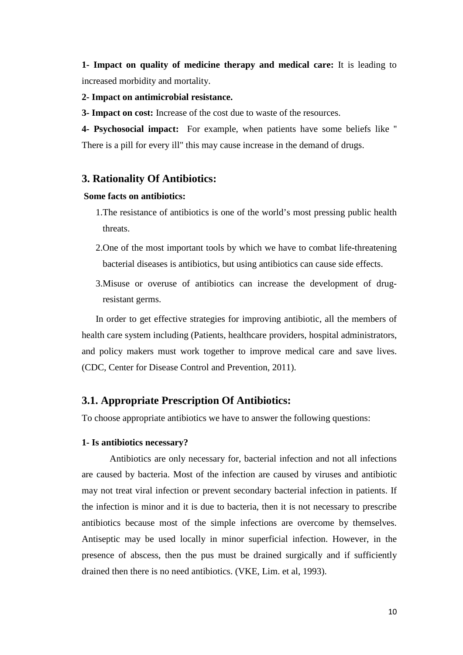**1- Impact on quality of medicine therapy and medical care:** It is leading to increased morbidity and mortality.

### **2- Impact on antimicrobial resistance.**

**3- Impact on cost:** Increase of the cost due to waste of the resources.

**4- Psychosocial impact:** For example, when patients have some beliefs like '' There is a pill for every ill" this may cause increase in the demand of drugs.

## **3. Rationality Of Antibiotics:**

#### **Some facts on antibiotics:**

- 1.The resistance of antibiotics is one of the world's most pressing public health threats.
- 2.One of the most important tools by which we have to combat life-threatening bacterial diseases is antibiotics, but using antibiotics can cause side effects.
- 3.Misuse or overuse of antibiotics can increase the development of drugresistant germs.

In order to get effective strategies for improving antibiotic, all the members of health care system including (Patients, healthcare providers, hospital administrators, and policy makers must work together to improve medical care and save lives. (CDC, Center for Disease Control and Prevention, 2011).

## **3.1. Appropriate Prescription Of Antibiotics:**

To choose appropriate antibiotics we have to answer the following questions:

### **1- Is antibiotics necessary?**

Antibiotics are only necessary for, bacterial infection and not all infections are caused by bacteria. Most of the infection are caused by viruses and antibiotic may not treat viral infection or prevent secondary bacterial infection in patients. If the infection is minor and it is due to bacteria, then it is not necessary to prescribe antibiotics because most of the simple infections are overcome by themselves. Antiseptic may be used locally in minor superficial infection. However, in the presence of abscess, then the pus must be drained surgically and if sufficiently drained then there is no need antibiotics. (VKE, Lim. et al, 1993).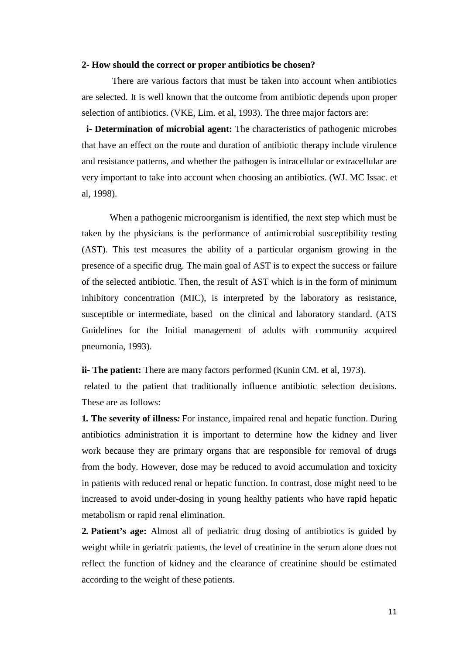#### **2- How should the correct or proper antibiotics be chosen?**

There are various factors that must be taken into account when antibiotics are selected. It is well known that the outcome from antibiotic depends upon proper selection of antibiotics. (VKE, Lim. et al, 1993). The three major factors are:

 **i- Determination of microbial agent:** The characteristics of pathogenic microbes that have an effect on the route and duration of antibiotic therapy include virulence and resistance patterns, and whether the pathogen is intracellular or extracellular are very important to take into account when choosing an antibiotics. (WJ. MC Issac. et al, 1998).

When a pathogenic microorganism is identified, the next step which must be taken by the physicians is the performance of antimicrobial susceptibility testing (AST). This test measures the ability of a particular organism growing in the presence of a specific drug. The main goal of AST is to expect the success or failure of the selected antibiotic. Then, the result of AST which is in the form of minimum inhibitory concentration (MIC), is interpreted by the laboratory as resistance, susceptible or intermediate, based on the clinical and laboratory standard. (ATS Guidelines for the Initial management of adults with community acquired pneumonia, 1993).

**ii- The patient:** There are many factors performed (Kunin CM. et al, 1973).

related to the patient that traditionally influence antibiotic selection decisions. These are as follows:

**1***.* **The severity of illness***:* For instance, impaired renal and hepatic function. During antibiotics administration it is important to determine how the kidney and liver work because they are primary organs that are responsible for removal of drugs from the body. However, dose may be reduced to avoid accumulation and toxicity in patients with reduced renal or hepatic function. In contrast, dose might need to be increased to avoid under-dosing in young healthy patients who have rapid hepatic metabolism or rapid renal elimination.

**2***.* **Patient's age:** Almost all of pediatric drug dosing of antibiotics is guided by weight while in geriatric patients, the level of creatinine in the serum alone does not reflect the function of kidney and the clearance of creatinine should be estimated according to the weight of these patients.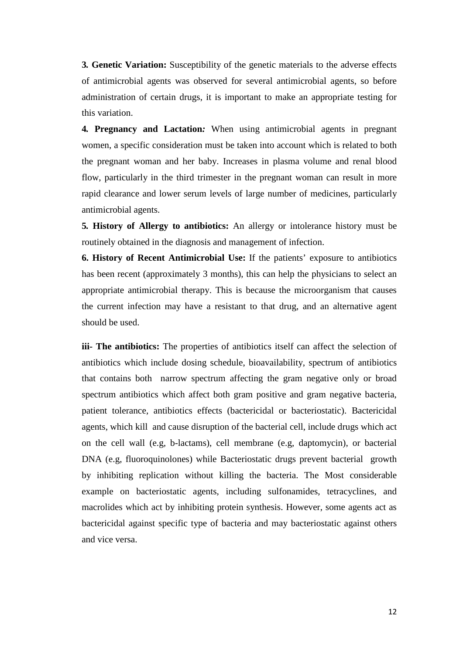**3***.* **Genetic Variation:** Susceptibility of the genetic materials to the adverse effects of antimicrobial agents was observed for several antimicrobial agents, so before administration of certain drugs, it is important to make an appropriate testing for this variation.

**4***.* **Pregnancy and Lactation***:* When using antimicrobial agents in pregnant women, a specific consideration must be taken into account which is related to both the pregnant woman and her baby. Increases in plasma volume and renal blood flow, particularly in the third trimester in the pregnant woman can result in more rapid clearance and lower serum levels of large number of medicines, particularly antimicrobial agents.

**5***.* **History of Allergy to antibiotics:** An allergy or intolerance history must be routinely obtained in the diagnosis and management of infection.

**6. History of Recent Antimicrobial Use:** If the patients' exposure to antibiotics has been recent (approximately 3 months), this can help the physicians to select an appropriate antimicrobial therapy. This is because the microorganism that causes the current infection may have a resistant to that drug, and an alternative agent should be used.

**iii- The antibiotics:** The properties of antibiotics itself can affect the selection of antibiotics which include dosing schedule, bioavailability, spectrum of antibiotics that contains both narrow spectrum affecting the gram negative only or broad spectrum antibiotics which affect both gram positive and gram negative bacteria, patient tolerance, antibiotics effects (bactericidal or bacteriostatic). Bactericidal agents, which kill and cause disruption of the bacterial cell, include drugs which act on the cell wall (e.g, b-lactams), cell membrane (e.g, daptomycin), or bacterial DNA (e.g, fluoroquinolones) while Bacteriostatic drugs prevent bacterial growth by inhibiting replication without killing the bacteria. The Most considerable example on bacteriostatic agents, including sulfonamides, tetracyclines, and macrolides which act by inhibiting protein synthesis. However, some agents act as bactericidal against specific type of bacteria and may bacteriostatic against others and vice versa.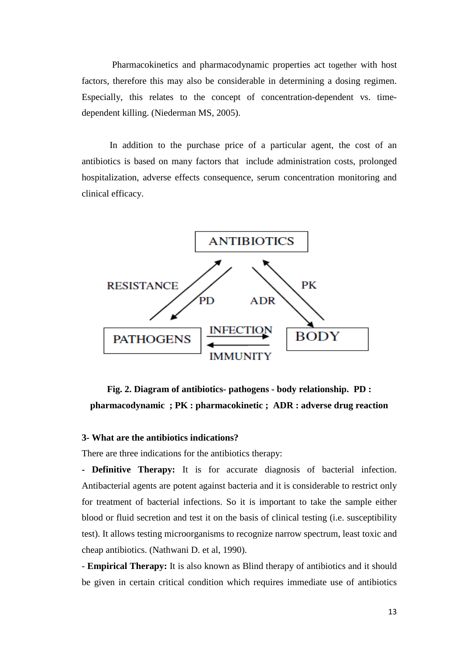Pharmacokinetics and pharmacodynamic properties act together with host factors, therefore this may also be considerable in determining a dosing regimen. Especially, this relates to the concept of concentration-dependent vs. timedependent killing. (Niederman MS, 2005).

In addition to the purchase price of a particular agent, the cost of an antibiotics is based on many factors that include administration costs, prolonged hospitalization, adverse effects consequence, serum concentration monitoring and clinical efficacy.



**Fig. 2. Diagram of antibiotics- pathogens - body relationship. PD : pharmacodynamic ; PK : pharmacokinetic ; ADR : adverse drug reaction**

### **3- What are the antibiotics indications?**

There are three indications for the antibiotics therapy:

**- Definitive Therapy:** It is for accurate diagnosis of bacterial infection. Antibacterial agents are potent against bacteria and it is considerable to restrict only for treatment of bacterial infections. So it is important to take the sample either blood or fluid secretion and test it on the basis of clinical testing (i.e. susceptibility test). It allows testing microorganisms to recognize narrow spectrum, least toxic and cheap antibiotics. (Nathwani D. et al, 1990).

- **Empirical Therapy:** It is also known as Blind therapy of antibiotics and it should be given in certain critical condition which requires immediate use of antibiotics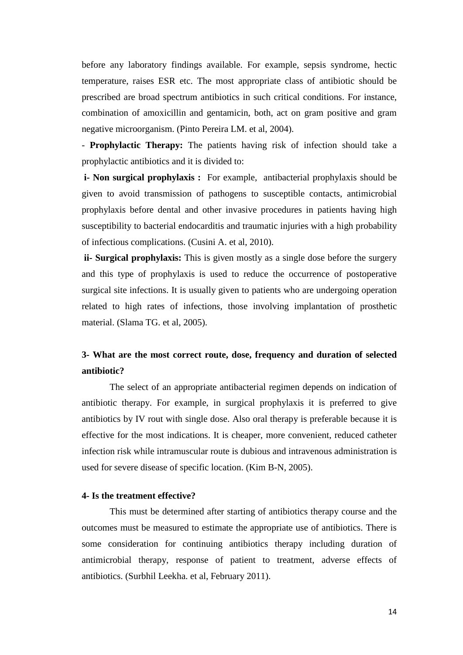before any laboratory findings available. For example, sepsis syndrome, hectic temperature, raises ESR etc. The most appropriate class of antibiotic should be prescribed are broad spectrum antibiotics in such critical conditions. For instance, combination of amoxicillin and gentamicin, both, act on gram positive and gram negative microorganism. (Pinto Pereira LM. et al, 2004).

- **Prophylactic Therapy:** The patients having risk of infection should take a prophylactic antibiotics and it is divided to:

**i- Non surgical prophylaxis :** For example, antibacterial prophylaxis should be given to avoid transmission of pathogens to susceptible contacts, antimicrobial prophylaxis before dental and other invasive procedures in patients having high susceptibility to bacterial endocarditis and traumatic injuries with a high probability of infectious complications. (Cusini A. et al, 2010).

**ii- Surgical prophylaxis:** This is given mostly as a single dose before the surgery and this type of prophylaxis is used to reduce the occurrence of postoperative surgical site infections. It is usually given to patients who are undergoing operation related to high rates of infections, those involving implantation of prosthetic material. (Slama TG. et al, 2005).

## **3- What are the most correct route, dose, frequency and duration of selected antibiotic?**

The select of an appropriate antibacterial regimen depends on indication of antibiotic therapy. For example, in surgical prophylaxis it is preferred to give antibiotics by IV rout with single dose. Also oral therapy is preferable because it is effective for the most indications. It is cheaper, more convenient, reduced catheter infection risk while intramuscular route is dubious and intravenous administration is used for severe disease of specific location. (Kim B-N, 2005).

### **4- Is the treatment effective?**

This must be determined after starting of antibiotics therapy course and the outcomes must be measured to estimate the appropriate use of antibiotics. There is some consideration for continuing antibiotics therapy including duration of antimicrobial therapy, response of patient to treatment, adverse effects of antibiotics. (Surbhil Leekha. et al, February 2011).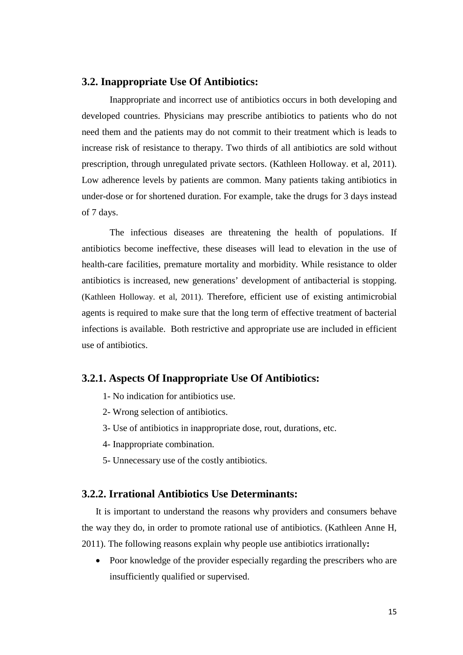## **3.2. Inappropriate Use Of Antibiotics:**

Inappropriate and incorrect use of antibiotics occurs in both developing and developed countries. Physicians may prescribe antibiotics to patients who do not need them and the patients may do not commit to their treatment which is leads to increase risk of resistance to therapy. Two thirds of all antibiotics are sold without prescription, through unregulated private sectors. (Kathleen Holloway. et al, 2011). Low adherence levels by patients are common. Many patients taking antibiotics in under-dose or for shortened duration. For example, take the drugs for 3 days instead of 7 days.

The infectious diseases are threatening the health of populations. If antibiotics become ineffective, these diseases will lead to elevation in the use of health-care facilities, premature mortality and morbidity. While resistance to older antibiotics is increased, new generations' development of antibacterial is stopping. (Kathleen Holloway. et al, 2011). Therefore, efficient use of existing antimicrobial agents is required to make sure that the long term of effective treatment of bacterial infections is available. Both restrictive and appropriate use are included in efficient use of antibiotics.

## **3.2.1. Aspects Of Inappropriate Use Of Antibiotics:**

- 1- No indication for antibiotics use.
- 2- Wrong selection of antibiotics.
- 3- Use of antibiotics in inappropriate dose, rout, durations, etc.
- 4- Inappropriate combination.
- 5- Unnecessary use of the costly antibiotics.

### **3.2.2. Irrational Antibiotics Use Determinants:**

It is important to understand the reasons why providers and consumers behave the way they do, in order to promote rational use of antibiotics. (Kathleen Anne H, 2011). The following reasons explain why people use antibiotics irrationally**:**

• Poor knowledge of the provider especially regarding the prescribers who are insufficiently qualified or supervised.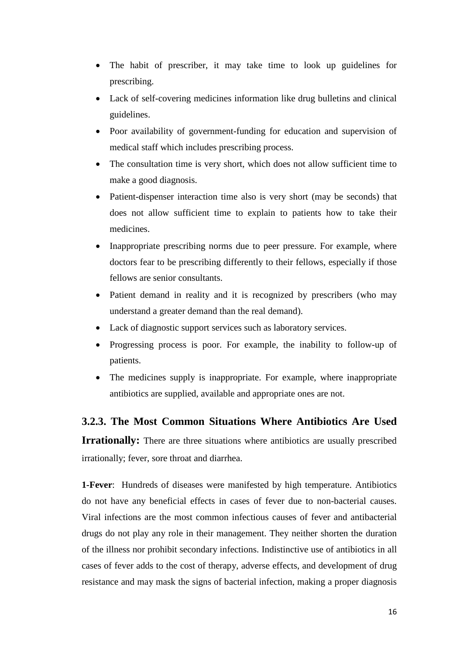- The habit of prescriber, it may take time to look up guidelines for prescribing.
- Lack of self-covering medicines information like drug bulletins and clinical guidelines.
- Poor availability of government-funding for education and supervision of medical staff which includes prescribing process.
- The consultation time is very short, which does not allow sufficient time to make a good diagnosis.
- Patient-dispenser interaction time also is very short (may be seconds) that does not allow sufficient time to explain to patients how to take their medicines.
- Inappropriate prescribing norms due to peer pressure. For example, where doctors fear to be prescribing differently to their fellows, especially if those fellows are senior consultants.
- Patient demand in reality and it is recognized by prescribers (who may understand a greater demand than the real demand).
- Lack of diagnostic support services such as laboratory services.
- Progressing process is poor. For example, the inability to follow-up of patients.
- The medicines supply is inappropriate. For example, where inappropriate antibiotics are supplied, available and appropriate ones are not.

**3.2.3. The Most Common Situations Where Antibiotics Are Used Irrationally:** There are three situations where antibiotics are usually prescribed irrationally; fever, sore throat and diarrhea.

**1-Fever**: Hundreds of diseases were manifested by high temperature. Antibiotics do not have any beneficial effects in cases of fever due to non-bacterial causes. Viral infections are the most common infectious causes of fever and antibacterial drugs do not play any role in their management. They neither shorten the duration of the illness nor prohibit secondary infections. Indistinctive use of antibiotics in all cases of fever adds to the cost of therapy, adverse effects, and development of drug resistance and may mask the signs of bacterial infection, making a proper diagnosis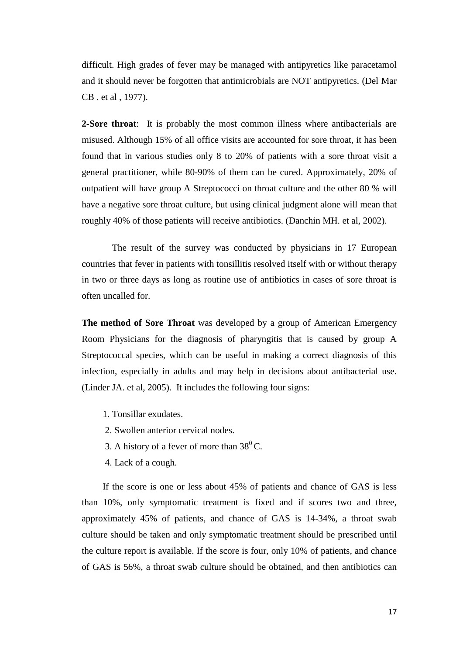difficult. High grades of fever may be managed with antipyretics like paracetamol and it should never be forgotten that antimicrobials are NOT antipyretics. (Del Mar CB . et al , 1977).

**2-Sore throat**: It is probably the most common illness where antibacterials are misused. Although 15% of all office visits are accounted for sore throat, it has been found that in various studies only 8 to 20% of patients with a sore throat visit a general practitioner, while 80-90% of them can be cured. Approximately, 20% of outpatient will have group A Streptococci on throat culture and the other 80 % will have a negative sore throat culture, but using clinical judgment alone will mean that roughly 40% of those patients will receive antibiotics. (Danchin MH. et al, 2002).

The result of the survey was conducted by physicians in 17 European countries that fever in patients with tonsillitis resolved itself with or without therapy in two or three days as long as routine use of antibiotics in cases of sore throat is often uncalled for.

**The method of Sore Throat** was developed by a group of American Emergency Room Physicians for the diagnosis of pharyngitis that is caused by group A Streptococcal species, which can be useful in making a correct diagnosis of this infection, especially in adults and may help in decisions about antibacterial use. (Linder JA. et al, 2005). It includes the following four signs:

- 1. Tonsillar exudates.
- 2. Swollen anterior cervical nodes.
- 3. A history of a fever of more than  $38^{\circ}$ C.
- 4. Lack of a cough.

If the score is one or less about 45% of patients and chance of GAS is less than 10%, only symptomatic treatment is fixed and if scores two and three, approximately 45% of patients, and chance of GAS is 14-34%, a throat swab culture should be taken and only symptomatic treatment should be prescribed until the culture report is available. If the score is four, only 10% of patients, and chance of GAS is 56%, a throat swab culture should be obtained, and then antibiotics can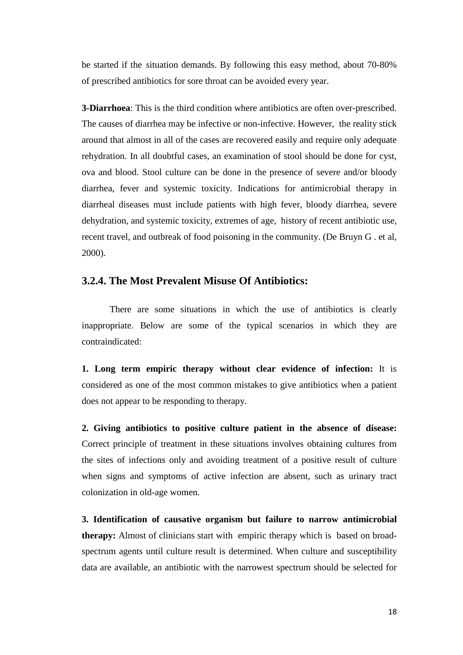be started if the situation demands. By following this easy method, about 70-80% of prescribed antibiotics for sore throat can be avoided every year.

**3-Diarrhoea**: This is the third condition where antibiotics are often over-prescribed. The causes of diarrhea may be infective or non-infective. However, the reality stick around that almost in all of the cases are recovered easily and require only adequate rehydration. In all doubtful cases, an examination of stool should be done for cyst, ova and blood. Stool culture can be done in the presence of severe and/or bloody diarrhea, fever and systemic toxicity. Indications for antimicrobial therapy in diarrheal diseases must include patients with high fever, bloody diarrhea, severe dehydration, and systemic toxicity, extremes of age, history of recent antibiotic use, recent travel, and outbreak of food poisoning in the community. (De Bruyn G . et al, 2000).

## **3.2.4. The Most Prevalent Misuse Of Antibiotics:**

There are some situations in which the use of antibiotics is clearly inappropriate. Below are some of the typical scenarios in which they are contraindicated:

**1. Long term empiric therapy without clear evidence of infection:** It is considered as one of the most common mistakes to give antibiotics when a patient does not appear to be responding to therapy.

**2. Giving antibiotics to positive culture patient in the absence of disease:** Correct principle of treatment in these situations involves obtaining cultures from the sites of infections only and avoiding treatment of a positive result of culture when signs and symptoms of active infection are absent, such as urinary tract colonization in old-age women.

**3. Identification of causative organism but failure to narrow antimicrobial therapy:** Almost of clinicians start with empiric therapy which is based on broadspectrum agents until culture result is determined. When culture and susceptibility data are available, an antibiotic with the narrowest spectrum should be selected for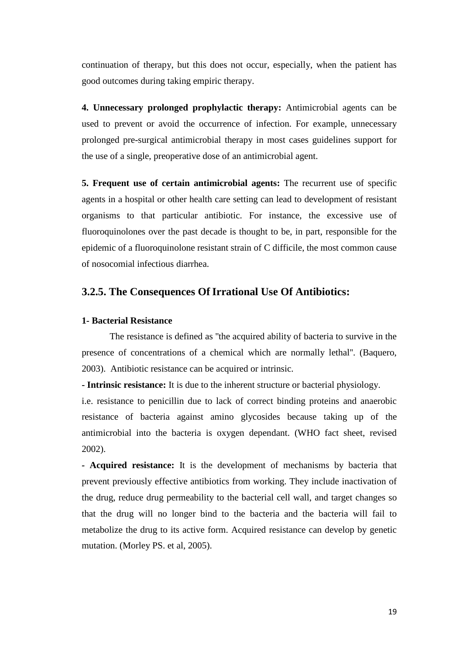continuation of therapy, but this does not occur, especially, when the patient has good outcomes during taking empiric therapy.

**4. Unnecessary prolonged prophylactic therapy:** Antimicrobial agents can be used to prevent or avoid the occurrence of infection. For example, unnecessary prolonged pre-surgical antimicrobial therapy in most cases guidelines support for the use of a single, preoperative dose of an antimicrobial agent.

**5. Frequent use of certain antimicrobial agents:** The recurrent use of specific agents in a hospital or other health care setting can lead to development of resistant organisms to that particular antibiotic. For instance, the excessive use of fluoroquinolones over the past decade is thought to be, in part, responsible for the epidemic of a fluoroquinolone resistant strain of C difficile, the most common cause of nosocomial infectious diarrhea.

## **3.2.5. The Consequences Of Irrational Use Of Antibiotics:**

### **1- Bacterial Resistance**

The resistance is defined as ''the acquired ability of bacteria to survive in the presence of concentrations of a chemical which are normally lethal''. (Baquero, 2003). Antibiotic resistance can be acquired or intrinsic.

**- Intrinsic resistance:** It is due to the inherent structure or bacterial physiology.

i.e. resistance to penicillin due to lack of correct binding proteins and anaerobic resistance of bacteria against amino glycosides because taking up of the antimicrobial into the bacteria is oxygen dependant. (WHO fact sheet, revised 2002).

*-* **Acquired resistance:** It is the development of mechanisms by bacteria that prevent previously effective antibiotics from working. They include inactivation of the drug, reduce drug permeability to the bacterial cell wall, and target changes so that the drug will no longer bind to the bacteria and the bacteria will fail to metabolize the drug to its active form. Acquired resistance can develop by genetic mutation. (Morley PS. et al, 2005).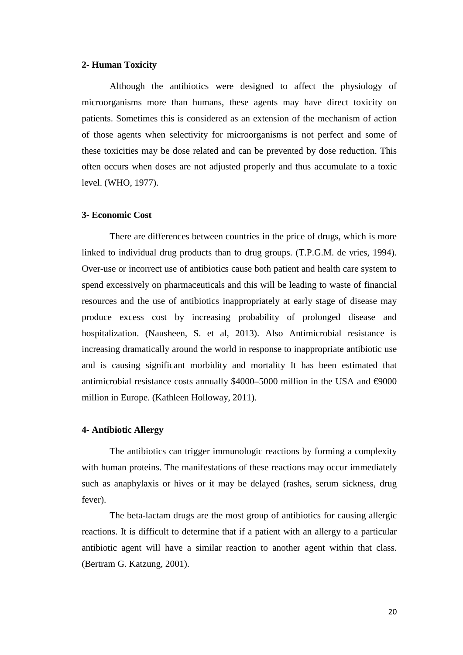### **2- Human Toxicity**

Although the antibiotics were designed to affect the physiology of microorganisms more than humans, these agents may have direct toxicity on patients. Sometimes this is considered as an extension of the mechanism of action of those agents when selectivity for microorganisms is not perfect and some of these toxicities may be dose related and can be prevented by dose reduction. This often occurs when doses are not adjusted properly and thus accumulate to a toxic level. (WHO, 1977).

#### **3- Economic Cost**

There are differences between countries in the price of drugs, which is more linked to individual drug products than to drug groups. (T.P.G.M. de vries, 1994). Over-use or incorrect use of antibiotics cause both patient and health care system to spend excessively on pharmaceuticals and this will be leading to waste of financial resources and the use of antibiotics inappropriately at early stage of disease may produce excess cost by increasing probability of prolonged disease and hospitalization. (Nausheen, S. et al, 2013). Also Antimicrobial resistance is increasing dramatically around the world in response to inappropriate antibiotic use and is causing significant morbidity and mortality It has been estimated that antimicrobial resistance costs annually  $$4000–5000$  million in the USA and  $\Theta$ 000 million in Europe. (Kathleen Holloway, 2011).

#### **4- Antibiotic Allergy**

The antibiotics can trigger immunologic reactions by forming a complexity with human proteins. The manifestations of these reactions may occur immediately such as anaphylaxis or hives or it may be delayed (rashes, serum sickness, drug fever).

The beta-lactam drugs are the most group of antibiotics for causing allergic reactions. It is difficult to determine that if a patient with an allergy to a particular antibiotic agent will have a similar reaction to another agent within that class. (Bertram G. Katzung, 2001).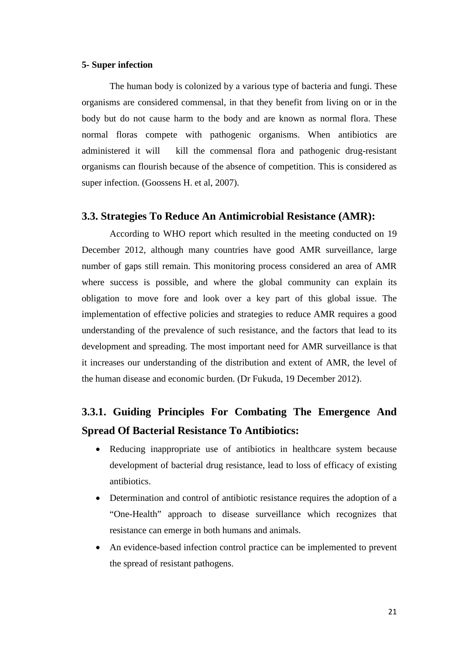### **5- Super infection**

The human body is colonized by a various type of bacteria and fungi. These organisms are considered commensal, in that they benefit from living on or in the body but do not cause harm to the body and are known as normal flora. These normal floras compete with pathogenic organisms. When antibiotics are administered it will kill the commensal flora and pathogenic drug-resistant organisms can flourish because of the absence of competition. This is considered as super infection. (Goossens H. et al, 2007).

### **3.3. Strategies To Reduce An Antimicrobial Resistance (AMR):**

According to WHO report which resulted in the meeting conducted on 19 December 2012, although many countries have good AMR surveillance, large number of gaps still remain. This monitoring process considered an area of AMR where success is possible, and where the global community can explain its obligation to move fore and look over a key part of this global issue. The implementation of effective policies and strategies to reduce AMR requires a good understanding of the prevalence of such resistance, and the factors that lead to its development and spreading. The most important need for AMR surveillance is that it increases our understanding of the distribution and extent of AMR, the level of the human disease and economic burden. (Dr Fukuda, 19 December 2012).

## **3.3.1. Guiding Principles For Combating The Emergence And Spread Of Bacterial Resistance To Antibiotics:**

- Reducing inappropriate use of antibiotics in healthcare system because development of bacterial drug resistance, lead to loss of efficacy of existing antibiotics.
- Determination and control of antibiotic resistance requires the adoption of a "One-Health" approach to disease surveillance which recognizes that resistance can emerge in both humans and animals.
- An evidence-based infection control practice can be implemented to prevent the spread of resistant pathogens.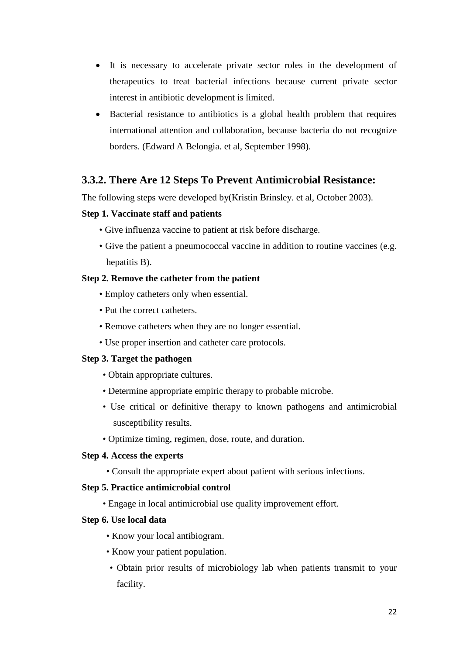- It is necessary to accelerate private sector roles in the development of therapeutics to treat bacterial infections because current private sector interest in antibiotic development is limited.
- Bacterial resistance to antibiotics is a global health problem that requires international attention and collaboration, because bacteria do not recognize borders. (Edward A Belongia. et al, September 1998).

## **3.3.2. There Are 12 Steps To Prevent Antimicrobial Resistance:**

The following steps were developed by(Kristin Brinsley. et al, October 2003).

### **Step 1. Vaccinate staff and patients**

- Give influenza vaccine to patient at risk before discharge.
- Give the patient a pneumococcal vaccine in addition to routine vaccines (e.g. hepatitis B).

### **Step 2. Remove the catheter from the patient**

- Employ catheters only when essential.
- Put the correct catheters.
- Remove catheters when they are no longer essential.
- Use proper insertion and catheter care protocols.

### **Step 3. Target the pathogen**

- Obtain appropriate cultures.
- Determine appropriate empiric therapy to probable microbe.
- Use critical or definitive therapy to known pathogens and antimicrobial susceptibility results.
- Optimize timing, regimen, dose, route, and duration.

### **Step 4. Access the experts**

• Consult the appropriate expert about patient with serious infections.

### **Step 5. Practice antimicrobial control**

• Engage in local antimicrobial use quality improvement effort.

### **Step 6. Use local data**

- Know your local antibiogram.
- Know your patient population.
- Obtain prior results of microbiology lab when patients transmit to your facility.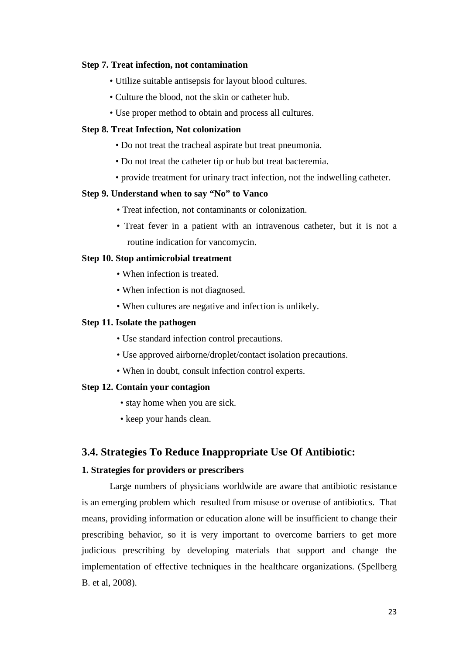#### **Step 7. Treat infection, not contamination**

- Utilize suitable antisepsis for layout blood cultures.
- Culture the blood, not the skin or catheter hub.
- Use proper method to obtain and process all cultures.

### **Step 8. Treat Infection, Not colonization**

- Do not treat the tracheal aspirate but treat pneumonia.
- Do not treat the catheter tip or hub but treat bacteremia.
- provide treatment for urinary tract infection, not the indwelling catheter.

### **Step 9. Understand when to say "No" to Vanco**

- Treat infection, not contaminants or colonization.
- Treat fever in a patient with an intravenous catheter, but it is not a routine indication for vancomycin.

### **Step 10. Stop antimicrobial treatment**

- When infection is treated.
- When infection is not diagnosed.
- When cultures are negative and infection is unlikely.

#### **Step 11. Isolate the pathogen**

- Use standard infection control precautions.
- Use approved airborne/droplet/contact isolation precautions.
- When in doubt, consult infection control experts.

#### **Step 12. Contain your contagion**

- stay home when you are sick.
- keep your hands clean.

### **3.4. Strategies To Reduce Inappropriate Use Of Antibiotic:**

#### **1. Strategies for providers or prescribers**

Large numbers of physicians worldwide are aware that antibiotic resistance is an emerging problem which resulted from misuse or overuse of antibiotics. That means, providing information or education alone will be insufficient to change their prescribing behavior, so it is very important to overcome barriers to get more judicious prescribing by developing materials that support and change the implementation of effective techniques in the healthcare organizations. (Spellberg B. et al, 2008).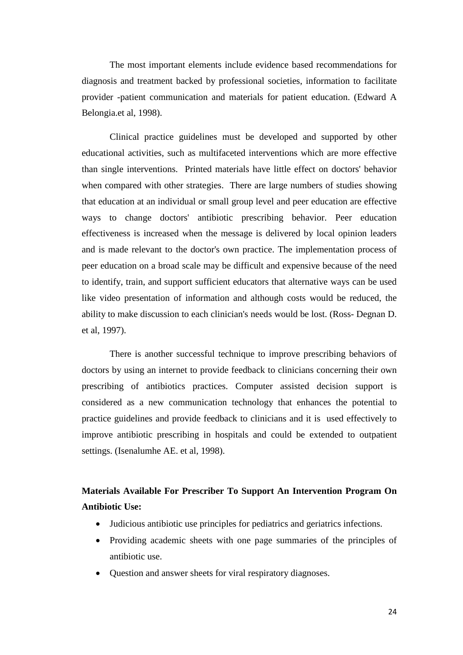The most important elements include evidence based recommendations for diagnosis and treatment backed by professional societies, information to facilitate provider -patient communication and materials for patient education. (Edward A Belongia.et al, 1998).

Clinical practice guidelines must be developed and supported by other educational activities, such as multifaceted interventions which are more effective than single interventions. Printed materials have little effect on doctors' behavior when compared with other strategies. There are large numbers of studies showing that education at an individual or small group level and peer education are effective ways to change doctors' antibiotic prescribing behavior. Peer education effectiveness is increased when the message is delivered by local opinion leaders and is made relevant to the doctor's own practice. The implementation process of peer education on a broad scale may be difficult and expensive because of the need to identify, train, and support sufficient educators that alternative ways can be used like video presentation of information and although costs would be reduced, the ability to make discussion to each clinician's needs would be lost. (Ross- Degnan D. et al, 1997).

There is another successful technique to improve prescribing behaviors of doctors by using an internet to provide feedback to clinicians concerning their own prescribing of antibiotics practices. Computer assisted decision support is considered as a new communication technology that enhances the potential to practice guidelines and provide feedback to clinicians and it is used effectively to improve antibiotic prescribing in hospitals and could be extended to outpatient settings. (Isenalumhe AE. et al, 1998).

**Materials Available For Prescriber To Support An Intervention Program On Antibiotic Use:**

- Judicious antibiotic use principles for pediatrics and geriatrics infections.
- Providing academic sheets with one page summaries of the principles of antibiotic use.
- Question and answer sheets for viral respiratory diagnoses.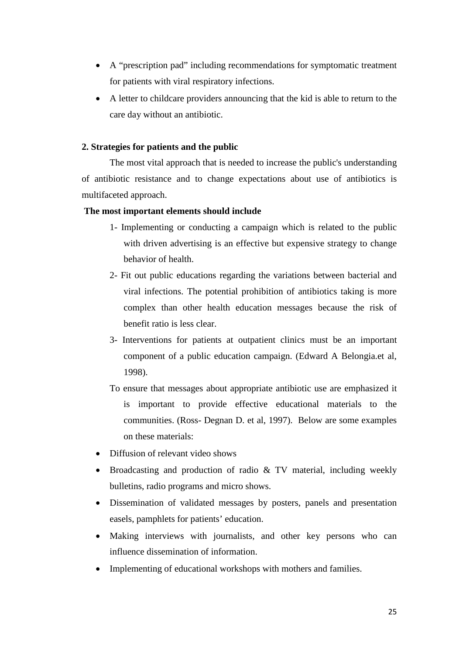- A "prescription pad" including recommendations for symptomatic treatment for patients with viral respiratory infections.
- A letter to childcare providers announcing that the kid is able to return to the care day without an antibiotic.

### **2. Strategies for patients and the public**

The most vital approach that is needed to increase the public's understanding of antibiotic resistance and to change expectations about use of antibiotics is multifaceted approach.

### **The most important elements should include**

- 1- Implementing or conducting a campaign which is related to the public with driven advertising is an effective but expensive strategy to change behavior of health.
- 2- Fit out public educations regarding the variations between bacterial and viral infections. The potential prohibition of antibiotics taking is more complex than other health education messages because the risk of benefit ratio is less clear.
- 3- Interventions for patients at outpatient clinics must be an important component of a public education campaign. (Edward A Belongia.et al, 1998).
- To ensure that messages about appropriate antibiotic use are emphasized it is important to provide effective educational materials to the communities. (Ross- Degnan D. et al, 1997). Below are some examples on these materials:
- Diffusion of relevant video shows
- Broadcasting and production of radio & TV material, including weekly bulletins, radio programs and micro shows.
- Dissemination of validated messages by posters, panels and presentation easels, pamphlets for patients' education.
- Making interviews with journalists, and other key persons who can influence dissemination of information.
- Implementing of educational workshops with mothers and families.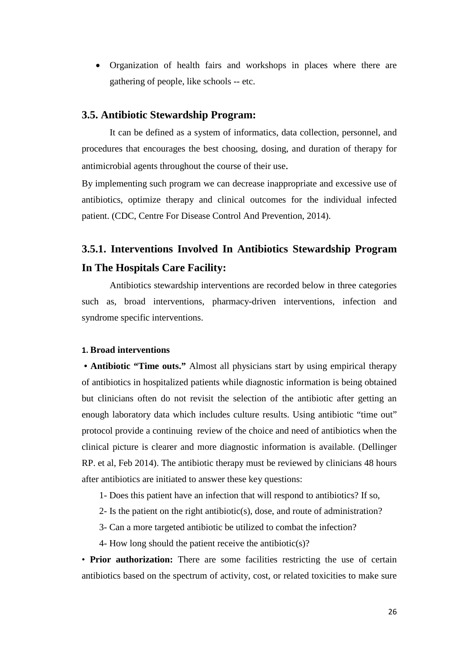• Organization of health fairs and workshops in places where there are gathering of people, like schools -- etc.

## **3.5. Antibiotic Stewardship Program:**

It can be defined as a system of informatics, data collection, personnel, and procedures that encourages the best choosing, dosing, and duration of therapy for antimicrobial agents throughout the course of their use.

By implementing such program we can decrease inappropriate and excessive use of antibiotics, optimize therapy and clinical outcomes for the individual infected patient. (CDC, Centre For Disease Control And Prevention, 2014).

## **3.5.1. Interventions Involved In Antibiotics Stewardship Program In The Hospitals Care Facility:**

Antibiotics stewardship interventions are recorded below in three categories such as, broad interventions, pharmacy-driven interventions, infection and syndrome specific interventions.

#### **1. Broad interventions**

**• Antibiotic "Time outs."** Almost all physicians start by using empirical therapy of antibiotics in hospitalized patients while diagnostic information is being obtained but clinicians often do not revisit the selection of the antibiotic after getting an enough laboratory data which includes culture results. Using antibiotic "time out" protocol provide a continuing review of the choice and need of antibiotics when the clinical picture is clearer and more diagnostic information is available. (Dellinger RP. et al, Feb 2014). The antibiotic therapy must be reviewed by clinicians 48 hours after antibiotics are initiated to answer these key questions:

1- Does this patient have an infection that will respond to antibiotics? If so,

- 2- Is the patient on the right antibiotic(s), dose, and route of administration?
- 3- Can a more targeted antibiotic be utilized to combat the infection?
- 4- How long should the patient receive the antibiotic(s)?

• **Prior authorization:** There are some facilities restricting the use of certain antibiotics based on the spectrum of activity, cost, or related toxicities to make sure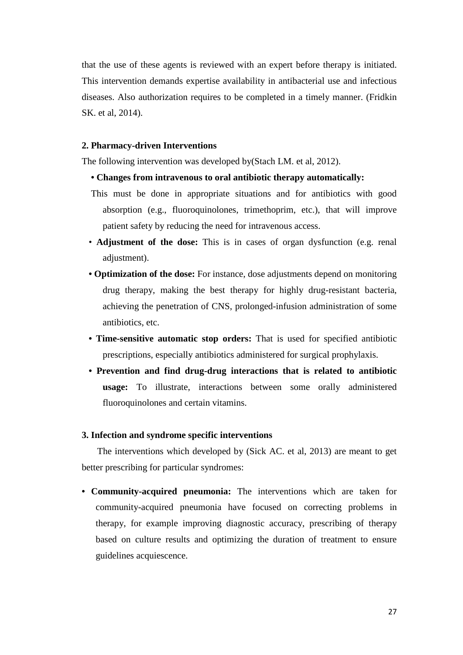that the use of these agents is reviewed with an expert before therapy is initiated. This intervention demands expertise availability in antibacterial use and infectious diseases. Also authorization requires to be completed in a timely manner. (Fridkin SK. et al, 2014).

### **2. Pharmacy-driven Interventions**

The following intervention was developed by(Stach LM. et al, 2012).

- **Changes from intravenous to oral antibiotic therapy automatically:**
- This must be done in appropriate situations and for antibiotics with good absorption (e.g., fluoroquinolones, trimethoprim, etc.), that will improve patient safety by reducing the need for intravenous access.
- **Adjustment of the dose:** This is in cases of organ dysfunction (e.g. renal adjustment).
- **Optimization of the dose:** For instance, dose adjustments depend on monitoring drug therapy, making the best therapy for highly drug-resistant bacteria, achieving the penetration of CNS, prolonged-infusion administration of some antibiotics, etc.
- **Time-sensitive automatic stop orders:** That is used for specified antibiotic prescriptions, especially antibiotics administered for surgical prophylaxis.
- **Prevention and find drug-drug interactions that is related to antibiotic usage:** To illustrate, interactions between some orally administered fluoroquinolones and certain vitamins.

### **3. Infection and syndrome specific interventions**

 The interventions which developed by (Sick AC. et al, 2013) are meant to get better prescribing for particular syndromes:

**• Community-acquired pneumonia:** The interventions which are taken for community-acquired pneumonia have focused on correcting problems in therapy, for example improving diagnostic accuracy, prescribing of therapy based on culture results and optimizing the duration of treatment to ensure guidelines acquiescence.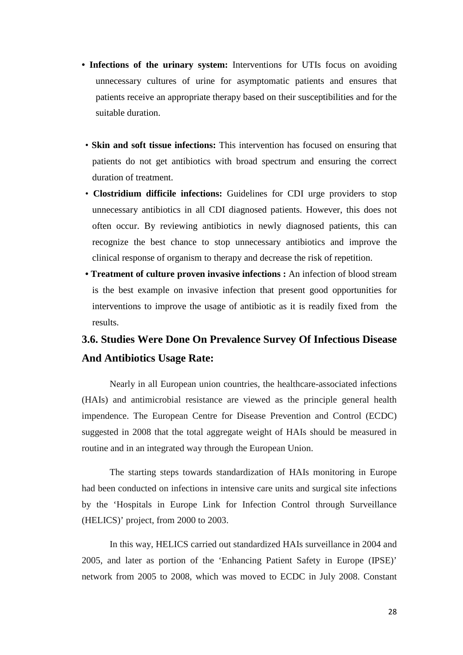- **Infections of the urinary system:** Interventions for UTIs focus on avoiding unnecessary cultures of urine for asymptomatic patients and ensures that patients receive an appropriate therapy based on their susceptibilities and for the suitable duration.
- **Skin and soft tissue infections:** This intervention has focused on ensuring that patients do not get antibiotics with broad spectrum and ensuring the correct duration of treatment.
- **Clostridium difficile infections:** Guidelines for CDI urge providers to stop unnecessary antibiotics in all CDI diagnosed patients. However, this does not often occur. By reviewing antibiotics in newly diagnosed patients, this can recognize the best chance to stop unnecessary antibiotics and improve the clinical response of organism to therapy and decrease the risk of repetition.
- **Treatment of culture proven invasive infections :** An infection of blood stream is the best example on invasive infection that present good opportunities for interventions to improve the usage of antibiotic as it is readily fixed from the results.

## **3.6. Studies Were Done On Prevalence Survey Of Infectious Disease And Antibiotics Usage Rate:**

Nearly in all European union countries, the healthcare-associated infections (HAIs) and antimicrobial resistance are viewed as the principle general health impendence. The European Centre for Disease Prevention and Control (ECDC) suggested in 2008 that the total aggregate weight of HAIs should be measured in routine and in an integrated way through the European Union.

The starting steps towards standardization of HAIs monitoring in Europe had been conducted on infections in intensive care units and surgical site infections by the 'Hospitals in Europe Link for Infection Control through Surveillance (HELICS)' project, from 2000 to 2003.

In this way, HELICS carried out standardized HAIs surveillance in 2004 and 2005, and later as portion of the 'Enhancing Patient Safety in Europe (IPSE)' network from 2005 to 2008, which was moved to ECDC in July 2008. Constant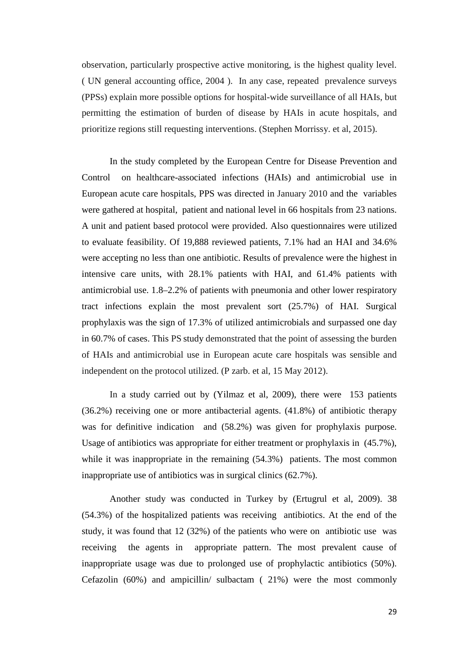observation, particularly prospective active monitoring, is the highest quality level. ( UN general accounting office, 2004 ). In any case, repeated prevalence surveys (PPSs) explain more possible options for hospital-wide surveillance of all HAIs, but permitting the estimation of burden of disease by HAIs in acute hospitals, and prioritize regions still requesting interventions. (Stephen Morrissy. et al, 2015).

In the study completed by the European Centre for Disease Prevention and Control on healthcare-associated infections (HAIs) and antimicrobial use in European acute care hospitals, PPS was directed in January 2010 and the variables were gathered at hospital, patient and national level in 66 hospitals from 23 nations. A unit and patient based protocol were provided. Also questionnaires were utilized to evaluate feasibility. Of 19,888 reviewed patients, 7.1% had an HAI and 34.6% were accepting no less than one antibiotic. Results of prevalence were the highest in intensive care units, with 28.1% patients with HAI, and 61.4% patients with antimicrobial use. 1.8–2.2% of patients with pneumonia and other lower respiratory tract infections explain the most prevalent sort (25.7%) of HAI. Surgical prophylaxis was the sign of 17.3% of utilized antimicrobials and surpassed one day in 60.7% of cases. This PS study demonstrated that the point of assessing the burden of HAIs and antimicrobial use in European acute care hospitals was sensible and independent on the protocol utilized. (P zarb. et al, 15 May 2012).

In a study carried out by (Yilmaz et al, 2009), there were 153 patients (36.2%) receiving one or more antibacterial agents. (41.8%) of antibiotic therapy was for definitive indication and (58.2%) was given for prophylaxis purpose. Usage of antibiotics was appropriate for either treatment or prophylaxis in (45.7%), while it was inappropriate in the remaining  $(54.3%)$  patients. The most common inappropriate use of antibiotics was in surgical clinics (62.7%).

Another study was conducted in Turkey by (Ertugrul et al, 2009). 38 (54.3%) of the hospitalized patients was receiving antibiotics. At the end of the study, it was found that 12 (32%) of the patients who were on antibiotic use was receiving the agents in appropriate pattern. The most prevalent cause of inappropriate usage was due to prolonged use of prophylactic antibiotics (50%). Cefazolin (60%) and ampicillin/ sulbactam ( 21%) were the most commonly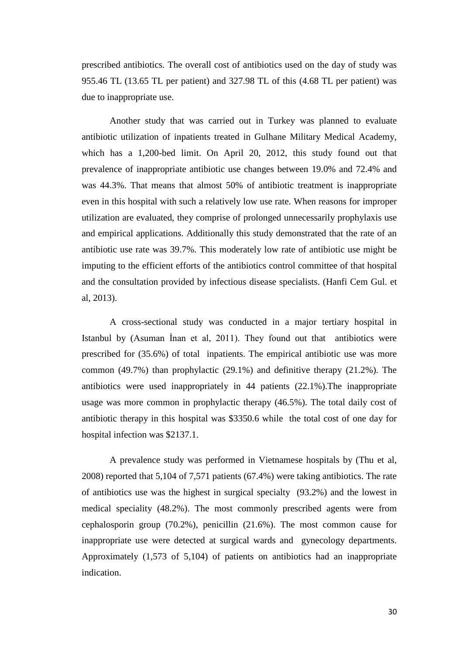prescribed antibiotics. The overall cost of antibiotics used on the day of study was 955.46 TL (13.65 TL per patient) and 327.98 TL of this (4.68 TL per patient) was due to inappropriate use.

Another study that was carried out in Turkey was planned to evaluate antibiotic utilization of inpatients treated in Gulhane Military Medical Academy, which has a 1,200-bed limit. On April 20, 2012, this study found out that prevalence of inappropriate antibiotic use changes between 19.0% and 72.4% and was 44.3%. That means that almost 50% of antibiotic treatment is inappropriate even in this hospital with such a relatively low use rate. When reasons for improper utilization are evaluated, they comprise of prolonged unnecessarily prophylaxis use and empirical applications. Additionally this study demonstrated that the rate of an antibiotic use rate was 39.7%. This moderately low rate of antibiotic use might be imputing to the efficient efforts of the antibiotics control committee of that hospital and the consultation provided by infectious disease specialists. (Hanfi Cem Gul. et al, 2013).

A cross-sectional study was conducted in a major tertiary hospital in Istanbul by (Asuman İnan et al, 2011). They found out that antibiotics were prescribed for (35.6%) of total inpatients. The empirical antibiotic use was more common (49.7%) than prophylactic (29.1%) and definitive therapy (21.2%). The antibiotics were used inappropriately in 44 patients (22.1%).The inappropriate usage was more common in prophylactic therapy (46.5%). The total daily cost of antibiotic therapy in this hospital was \$3350.6 while the total cost of one day for hospital infection was \$2137.1.

A prevalence study was performed in Vietnamese hospitals by (Thu et al, 2008) reported that 5,104 of 7,571 patients (67.4%) were taking antibiotics. The rate of antibiotics use was the highest in surgical specialty (93.2%) and the lowest in medical speciality (48.2%). The most commonly prescribed agents were from cephalosporin group (70.2%), penicillin (21.6%). The most common cause for inappropriate use were detected at surgical wards and gynecology departments. Approximately (1,573 of 5,104) of patients on antibiotics had an inappropriate indication.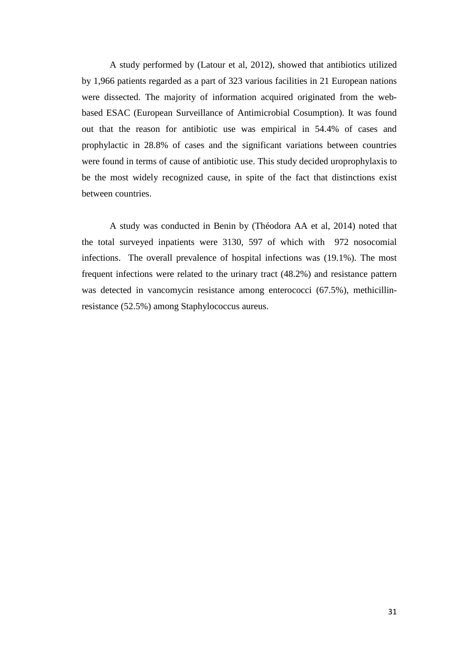A study performed by (Latour et al, 2012), showed that antibiotics utilized by 1,966 patients regarded as a part of 323 various facilities in 21 European nations were dissected. The majority of information acquired originated from the webbased ESAC (European Surveillance of Antimicrobial Cosumption). It was found out that the reason for antibiotic use was empirical in 54.4% of cases and prophylactic in 28.8% of cases and the significant variations between countries were found in terms of cause of antibiotic use. This study decided uroprophylaxis to be the most widely recognized cause, in spite of the fact that distinctions exist between countries.

A study was conducted in Benin by (Théodora AA et al, 2014) noted that the total surveyed inpatients were 3130, 597 of which with 972 nosocomial infections. The overall prevalence of hospital infections was (19.1%). The most frequent infections were related to the urinary tract (48.2%) and resistance pattern was detected in vancomycin resistance among enterococci (67.5%), methicillinresistance (52.5%) among Staphylococcus aureus.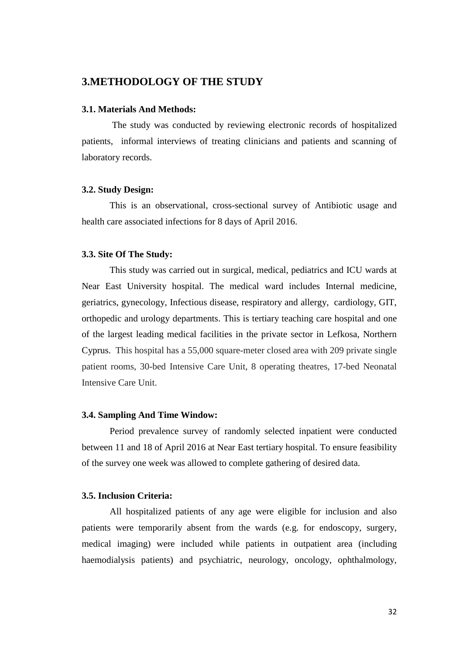## **3.METHODOLOGY OF THE STUDY**

### **3.1. Materials And Methods:**

The study was conducted by reviewing electronic records of hospitalized patients, informal interviews of treating clinicians and patients and scanning of laboratory records.

#### **3.2. Study Design:**

This is an observational, cross-sectional survey of Antibiotic usage and health care associated infections for 8 days of April 2016.

### **3.3. Site Of The Study:**

This study was carried out in surgical, medical, pediatrics and ICU wards at Near East University hospital. The medical ward includes Internal medicine, geriatrics, gynecology, Infectious disease, respiratory and allergy, cardiology, GIT, orthopedic and urology departments. This is tertiary teaching care hospital and one of the largest leading medical facilities in the private sector in Lefkosa, Northern Cyprus. This hospital has a 55,000 square-meter closed area with 209 private single patient rooms, 30-bed Intensive Care Unit, 8 operating theatres, 17-bed Neonatal Intensive Care Unit.

### **3.4. Sampling And Time Window:**

Period prevalence survey of randomly selected inpatient were conducted between 11 and 18 of April 2016 at Near East tertiary hospital. To ensure feasibility of the survey one week was allowed to complete gathering of desired data.

### **3.5. Inclusion Criteria:**

All hospitalized patients of any age were eligible for inclusion and also patients were temporarily absent from the wards (e.g. for endoscopy, surgery, medical imaging) were included while patients in outpatient area (including haemodialysis patients) and psychiatric, neurology, oncology, ophthalmology,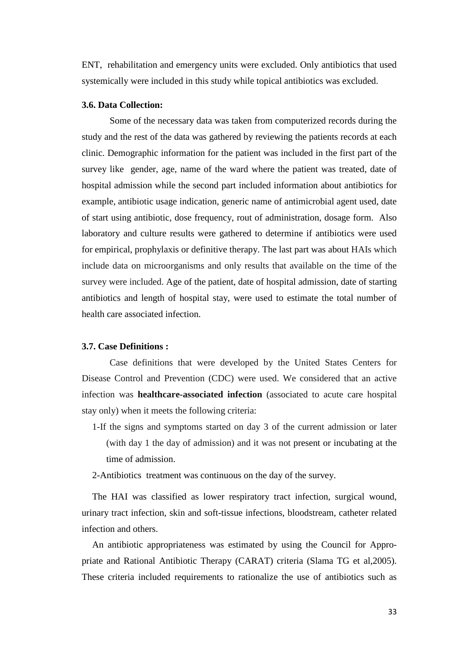ENT, rehabilitation and emergency units were excluded. Only antibiotics that used systemically were included in this study while topical antibiotics was excluded.

#### **3.6. Data Collection:**

Some of the necessary data was taken from computerized records during the study and the rest of the data was gathered by reviewing the patients records at each clinic. Demographic information for the patient was included in the first part of the survey like gender, age, name of the ward where the patient was treated, date of hospital admission while the second part included information about antibiotics for example, antibiotic usage indication, generic name of antimicrobial agent used, date of start using antibiotic, dose frequency, rout of administration, dosage form. Also laboratory and culture results were gathered to determine if antibiotics were used for empirical, prophylaxis or definitive therapy. The last part was about HAIs which include data on microorganisms and only results that available on the time of the survey were included. Age of the patient, date of hospital admission, date of starting antibiotics and length of hospital stay, were used to estimate the total number of health care associated infection.

### **3.7. Case Definitions :**

Case definitions that were developed by the United States Centers for Disease Control and Prevention (CDC) were used. We considered that an active infection was **healthcare-associated infection** (associated to acute care hospital stay only) when it meets the following criteria:

- 1-If the signs and symptoms started on day 3 of the current admission or later (with day 1 the day of admission) and it was not present or incubating at the time of admission.
- 2-Antibiotics treatment was continuous on the day of the survey.

The HAI was classified as lower respiratory tract infection, surgical wound, urinary tract infection, skin and soft-tissue infections, bloodstream, catheter related infection and others.

An antibiotic appropriateness was estimated by using the Council for Appropriate and Rational Antibiotic Therapy (CARAT) criteria (Slama TG et al,2005). These criteria included requirements to rationalize the use of antibiotics such as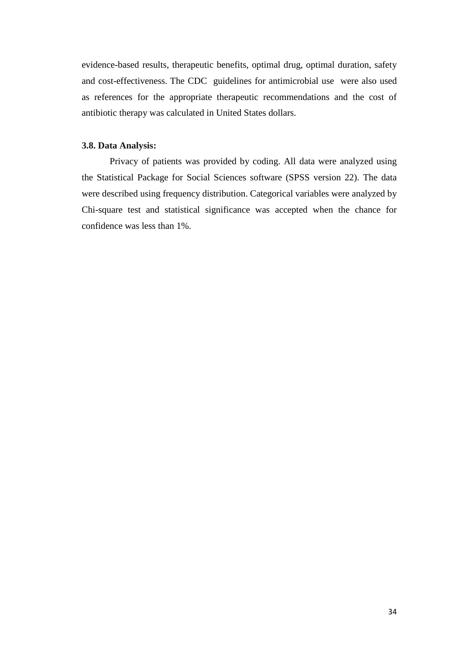evidence-based results, therapeutic benefits, optimal drug, optimal duration, safety and cost-effectiveness. The CDC guidelines for antimicrobial use were also used as references for the appropriate therapeutic recommendations and the cost of antibiotic therapy was calculated in United States dollars.

### **3.8. Data Analysis:**

Privacy of patients was provided by coding. All data were analyzed using the Statistical Package for Social Sciences software (SPSS version 22). The data were described using frequency distribution. Categorical variables were analyzed by Chi-square test and statistical significance was accepted when the chance for confidence was less than 1%.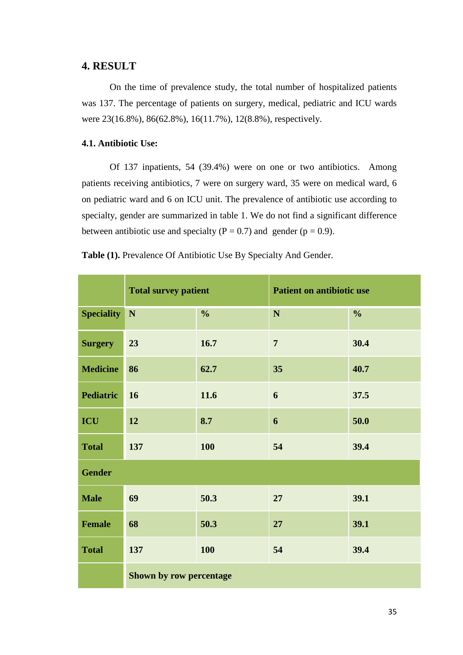## **4. RESULT**

On the time of prevalence study, the total number of hospitalized patients was 137. The percentage of patients on surgery, medical, pediatric and ICU wards were 23(16.8%), 86(62.8%), 16(11.7%), 12(8.8%), respectively.

## **4.1. Antibiotic Use:**

Of 137 inpatients, 54 (39.4%) were on one or two antibiotics. Among patients receiving antibiotics, 7 were on surgery ward, 35 were on medical ward, 6 on pediatric ward and 6 on ICU unit. The prevalence of antibiotic use according to specialty, gender are summarized in table 1. We do not find a significant difference between antibiotic use and specialty ( $P = 0.7$ ) and gender ( $p = 0.9$ ).

|                   | <b>Total survey patient</b> |               | <b>Patient on antibiotic use</b> |               |
|-------------------|-----------------------------|---------------|----------------------------------|---------------|
| <b>Speciality</b> | ${\bf N}$                   | $\frac{0}{0}$ | ${\bf N}$                        | $\frac{0}{0}$ |
| <b>Surgery</b>    | 23                          | 16.7          | $\overline{7}$                   | 30.4          |
| <b>Medicine</b>   | 86                          | 62.7          | 35                               | 40.7          |
| <b>Pediatric</b>  | 16                          | 11.6          | 6                                | 37.5          |
| ICU               | 12                          | 8.7           | 6                                | 50.0          |
| <b>Total</b>      | 137                         | <b>100</b>    | 54                               | 39.4          |
| <b>Gender</b>     |                             |               |                                  |               |
| <b>Male</b>       | 69                          | 50.3          | 27                               | 39.1          |
| <b>Female</b>     | 68                          | 50.3          | 27                               | 39.1          |
| <b>Total</b>      | 137                         | 100           | 54                               | 39.4          |
|                   | Shown by row percentage     |               |                                  |               |

**Table (1).** Prevalence Of Antibiotic Use By Specialty And Gender.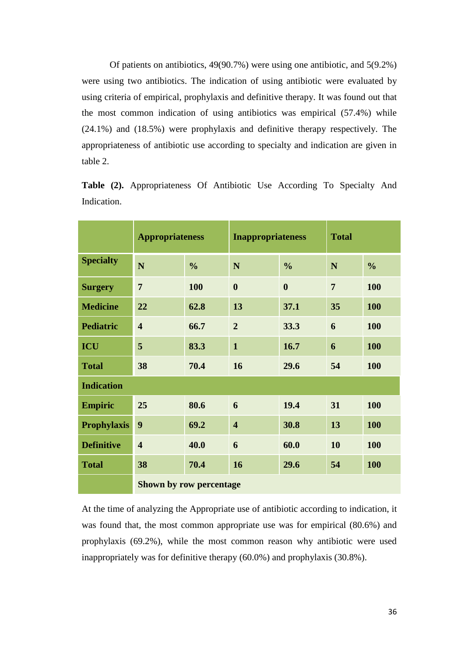Of patients on antibiotics, 49(90.7%) were using one antibiotic, and 5(9.2%) were using two antibiotics. The indication of using antibiotic were evaluated by using criteria of empirical, prophylaxis and definitive therapy. It was found out that the most common indication of using antibiotics was empirical (57.4%) while (24.1%) and (18.5%) were prophylaxis and definitive therapy respectively. The appropriateness of antibiotic use according to specialty and indication are given in table 2.

|                    | <b>Appropriateness</b>  |               | <b>Inappropriateness</b> |                  | <b>Total</b>   |               |
|--------------------|-------------------------|---------------|--------------------------|------------------|----------------|---------------|
| <b>Specialty</b>   | N                       | $\frac{0}{0}$ | N                        | $\frac{0}{0}$    | N              | $\frac{0}{0}$ |
| <b>Surgery</b>     | 7                       | 100           | $\boldsymbol{0}$         | $\boldsymbol{0}$ | $\overline{7}$ | 100           |
| <b>Medicine</b>    | 22                      | 62.8          | 13                       | 37.1             | 35             | 100           |
| <b>Pediatric</b>   | $\overline{\mathbf{4}}$ | 66.7          | $\overline{2}$           | 33.3             | 6              | 100           |
| <b>ICU</b>         | 5                       | 83.3          | $\mathbf{1}$             | 16.7             | 6              | <b>100</b>    |
| <b>Total</b>       | 38                      | 70.4          | 16                       | 29.6             | 54             | 100           |
| <b>Indication</b>  |                         |               |                          |                  |                |               |
| <b>Empiric</b>     | 25                      | 80.6          | 6                        | 19.4             | 31             | 100           |
| <b>Prophylaxis</b> | 9                       | 69.2          | $\overline{\mathbf{4}}$  | 30.8             | 13             | 100           |
| <b>Definitive</b>  | $\overline{\mathbf{4}}$ | 40.0          | 6                        | 60.0             | 10             | 100           |
| <b>Total</b>       | 38                      | 70.4          | 16                       | 29.6             | 54             | 100           |
|                    | Shown by row percentage |               |                          |                  |                |               |

**Table (2).** Appropriateness Of Antibiotic Use According To Specialty And Indication.

At the time of analyzing the Appropriate use of antibiotic according to indication, it was found that, the most common appropriate use was for empirical (80.6%) and prophylaxis (69.2%), while the most common reason why antibiotic were used inappropriately was for definitive therapy (60.0%) and prophylaxis (30.8%).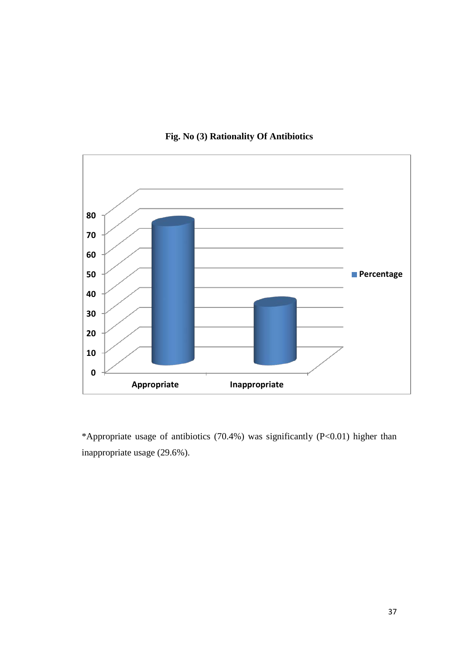

**Fig. No (3) Rationality Of Antibiotics**

\*Appropriate usage of antibiotics (70.4%) was significantly (P<0.01) higher than inappropriate usage (29.6%).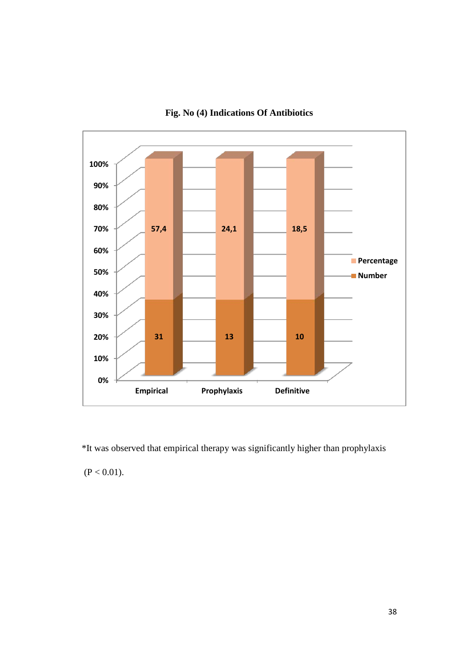

**Fig. No (4) Indications Of Antibiotics**

\*It was observed that empirical therapy was significantly higher than prophylaxis  $(P < 0.01)$ .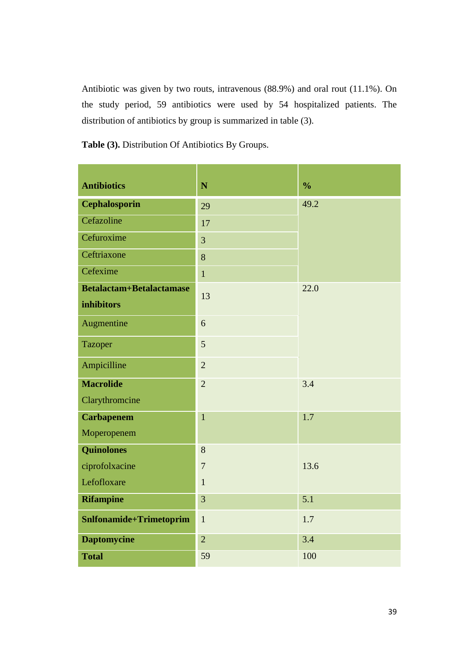Antibiotic was given by two routs, intravenous (88.9%) and oral rout (11.1%). On the study period, 59 antibiotics were used by 54 hospitalized patients. The distribution of antibiotics by group is summarized in table (3).

an Barat

**Table (3).** Distribution Of Antibiotics By Groups.

| <b>Antibiotics</b>                            | N              | $\frac{0}{0}$ |
|-----------------------------------------------|----------------|---------------|
| <b>Cephalosporin</b>                          | 29             | 49.2          |
| Cefazoline                                    | 17             |               |
| Cefuroxime                                    | 3              |               |
| Ceftriaxone                                   | 8              |               |
| Cefexime                                      | $\mathbf{1}$   |               |
| <b>Betalactam+Betalactamase</b><br>inhibitors | 13             | 22.0          |
| Augmentine                                    | 6              |               |
| <b>Tazoper</b>                                | 5              |               |
| Ampicilline                                   | $\overline{2}$ |               |
| <b>Macrolide</b>                              | $\overline{2}$ | 3.4           |
| Clarythromcine                                |                |               |
| <b>Carbapenem</b>                             | $\mathbf{1}$   | 1.7           |
| Moperopenem                                   |                |               |
| <b>Quinolones</b>                             | 8              |               |
| ciprofolxacine                                | $\tau$         | 13.6          |
| Lefofloxare                                   | $\mathbf{1}$   |               |
| <b>Rifampine</b>                              | 3              | 5.1           |
| Snlfonamide+Trimetoprim                       | $\mathbf{1}$   | 1.7           |
| <b>Daptomycine</b>                            | $\overline{2}$ | 3.4           |
| <b>Total</b>                                  | 59             | 100           |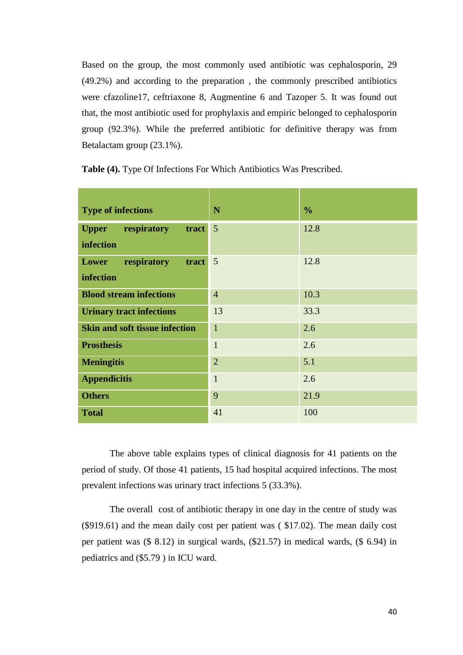Based on the group, the most commonly used antibiotic was cephalosporin, 29 (49.2%) and according to the preparation , the commonly prescribed antibiotics were cfazoline17, ceftriaxone 8, Augmentine 6 and Tazoper 5. It was found out that, the most antibiotic used for prophylaxis and empiric belonged to cephalosporin group (92.3%). While the preferred antibiotic for definitive therapy was from Betalactam group (23.1%).

| <b>Type of infections</b>                         | N               | $\frac{0}{0}$ |
|---------------------------------------------------|-----------------|---------------|
| respiratory<br>tract<br><b>Upper</b><br>infection | $5\overline{)}$ | 12.8          |
| Lower<br>respiratory<br>tract<br>infection        | $\overline{5}$  | 12.8          |
| <b>Blood stream infections</b>                    | $\overline{4}$  | 10.3          |
| <b>Urinary tract infections</b>                   | 13              | 33.3          |
| <b>Skin and soft tissue infection</b>             | $\mathbf{1}$    | 2.6           |
| <b>Prosthesis</b>                                 | $\mathbf{1}$    | 2.6           |
| <b>Meningitis</b>                                 | $\overline{2}$  | 5.1           |
| <b>Appendicitis</b>                               | $\mathbf{1}$    | 2.6           |
| <b>Others</b>                                     | 9               | 21.9          |
| <b>Total</b>                                      | 41              | 100           |

**Table (4).** Type Of Infections For Which Antibiotics Was Prescribed.

The above table explains types of clinical diagnosis for 41 patients on the period of study. Of those 41 patients, 15 had hospital acquired infections. The most prevalent infections was urinary tract infections 5 (33.3%).

The overall cost of antibiotic therapy in one day in the centre of study was (\$919.61) and the mean daily cost per patient was ( \$17.02). The mean daily cost per patient was (\$ 8.12) in surgical wards, (\$21.57) in medical wards, (\$ 6.94) in pediatrics and (\$5.79 ) in ICU ward.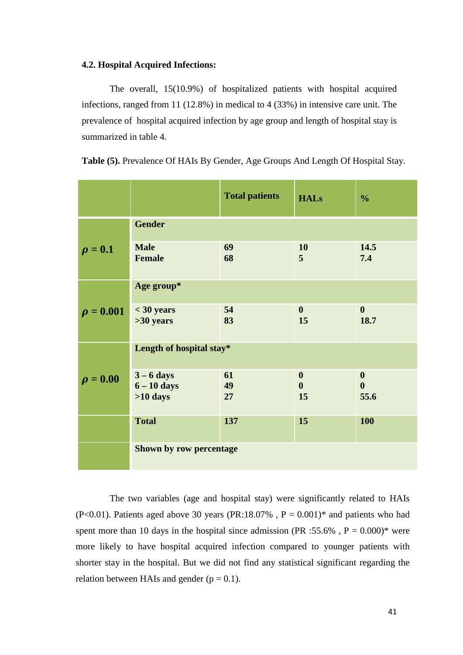### **4.2. Hospital Acquired Infections:**

The overall, 15(10.9%) of hospitalized patients with hospital acquired infections, ranged from 11 (12.8%) in medical to 4 (33%) in intensive care unit. The prevalence of hospital acquired infection by age group and length of hospital stay is summarized in table 4.

|                |                                             | <b>Total patients</b> | <b>HALs</b>                                | $\frac{0}{0}$                                |
|----------------|---------------------------------------------|-----------------------|--------------------------------------------|----------------------------------------------|
|                | <b>Gender</b>                               |                       |                                            |                                              |
| $\rho = 0.1$   | <b>Male</b><br><b>Female</b>                | 69<br>68              | 10<br>5                                    | 14.5<br>7.4                                  |
|                | Age group*                                  |                       |                                            |                                              |
| $\rho = 0.001$ | $<$ 30 years<br>$>30$ years                 | 54<br>83              | $\mathbf{0}$<br>15                         | $\mathbf{0}$<br>18.7                         |
|                | Length of hospital stay*                    |                       |                                            |                                              |
| $\rho = 0.00$  | $3 - 6$ days<br>$6 - 10$ days<br>$>10$ days | 61<br>49<br>27        | $\boldsymbol{0}$<br>$\boldsymbol{0}$<br>15 | $\boldsymbol{0}$<br>$\boldsymbol{0}$<br>55.6 |
|                | <b>Total</b>                                | 137                   | 15                                         | <b>100</b>                                   |
|                | Shown by row percentage                     |                       |                                            |                                              |

**Table (5).** Prevalence Of HAIs By Gender, Age Groups And Length Of Hospital Stay.

The two variables (age and hospital stay) were significantly related to HAIs (P<0.01). Patients aged above 30 years (PR:18.07%,  $P = 0.001$ )\* and patients who had spent more than 10 days in the hospital since admission (PR :55.6%,  $P = 0.000$ )\* were more likely to have hospital acquired infection compared to younger patients with shorter stay in the hospital. But we did not find any statistical significant regarding the relation between HAIs and gender  $(p = 0.1)$ .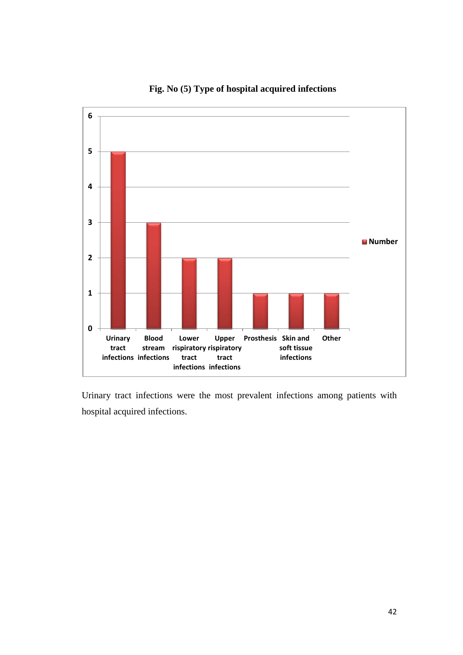

## **Fig. No (5) Type of hospital acquired infections**

Urinary tract infections were the most prevalent infections among patients with hospital acquired infections.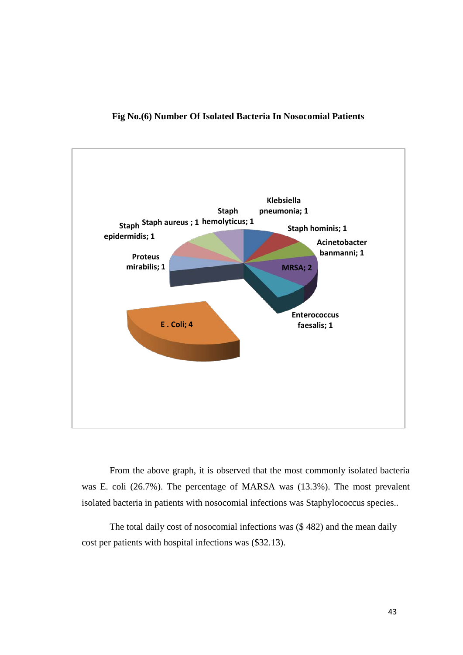

### **Fig No.(6) Number Of Isolated Bacteria In Nosocomial Patients**

From the above graph, it is observed that the most commonly isolated bacteria was E. coli (26.7%). The percentage of MARSA was (13.3%). The most prevalent isolated bacteria in patients with nosocomial infections was Staphylococcus species..

The total daily cost of nosocomial infections was (\$ 482) and the mean daily cost per patients with hospital infections was (\$32.13).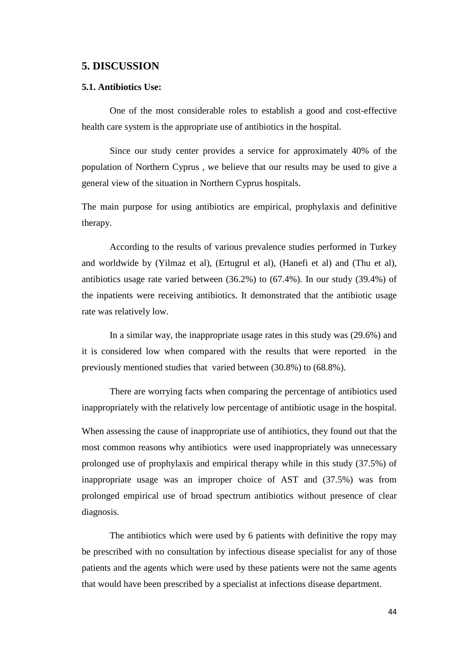### **5. DISCUSSION**

#### **5.1. Antibiotics Use:**

One of the most considerable roles to establish a good and cost-effective health care system is the appropriate use of antibiotics in the hospital.

Since our study center provides a service for approximately 40% of the population of Northern Cyprus , we believe that our results may be used to give a general view of the situation in Northern Cyprus hospitals.

The main purpose for using antibiotics are empirical, prophylaxis and definitive therapy.

According to the results of various prevalence studies performed in Turkey and worldwide by (Yilmaz et al), (Ertugrul et al), (Hanefi et al) and (Thu et al), antibiotics usage rate varied between (36.2%) to (67.4%). In our study (39.4%) of the inpatients were receiving antibiotics. It demonstrated that the antibiotic usage rate was relatively low.

In a similar way, the inappropriate usage rates in this study was (29.6%) and it is considered low when compared with the results that were reported in the previously mentioned studies that varied between (30.8%) to (68.8%).

There are worrying facts when comparing the percentage of antibiotics used inappropriately with the relatively low percentage of antibiotic usage in the hospital.

When assessing the cause of inappropriate use of antibiotics, they found out that the most common reasons why antibiotics were used inappropriately was unnecessary prolonged use of prophylaxis and empirical therapy while in this study (37.5%) of inappropriate usage was an improper choice of AST and (37.5%) was from prolonged empirical use of broad spectrum antibiotics without presence of clear diagnosis.

The antibiotics which were used by 6 patients with definitive the ropy may be prescribed with no consultation by infectious disease specialist for any of those patients and the agents which were used by these patients were not the same agents that would have been prescribed by a specialist at infections disease department.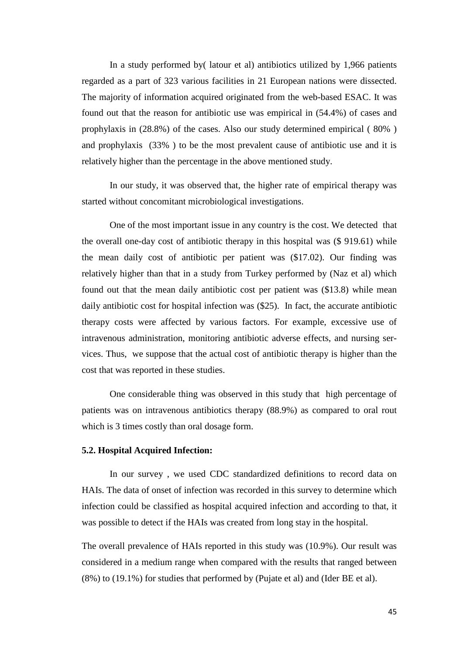In a study performed by( latour et al) antibiotics utilized by 1,966 patients regarded as a part of 323 various facilities in 21 European nations were dissected. The majority of information acquired originated from the web-based ESAC. It was found out that the reason for antibiotic use was empirical in (54.4%) of cases and prophylaxis in (28.8%) of the cases. Also our study determined empirical ( 80% ) and prophylaxis (33% ) to be the most prevalent cause of antibiotic use and it is relatively higher than the percentage in the above mentioned study.

In our study, it was observed that, the higher rate of empirical therapy was started without concomitant microbiological investigations.

One of the most important issue in any country is the cost. We detected that the overall one-day cost of antibiotic therapy in this hospital was (\$ 919.61) while the mean daily cost of antibiotic per patient was (\$17.02). Our finding was relatively higher than that in a study from Turkey performed by (Naz et al) which found out that the mean daily antibiotic cost per patient was (\$13.8) while mean daily antibiotic cost for hospital infection was (\$25). In fact, the accurate antibiotic therapy costs were affected by various factors. For example, excessive use of intravenous administration, monitoring antibiotic adverse effects, and nursing services. Thus, we suppose that the actual cost of antibiotic therapy is higher than the cost that was reported in these studies.

One considerable thing was observed in this study that high percentage of patients was on intravenous antibiotics therapy (88.9%) as compared to oral rout which is 3 times costly than oral dosage form.

### **5.2. Hospital Acquired Infection:**

In our survey , we used CDC standardized definitions to record data on HAIs. The data of onset of infection was recorded in this survey to determine which infection could be classified as hospital acquired infection and according to that, it was possible to detect if the HAIs was created from long stay in the hospital.

The overall prevalence of HAIs reported in this study was (10.9%). Our result was considered in a medium range when compared with the results that ranged between (8%) to (19.1%) for studies that performed by (Pujate et al) and (Ider BE et al).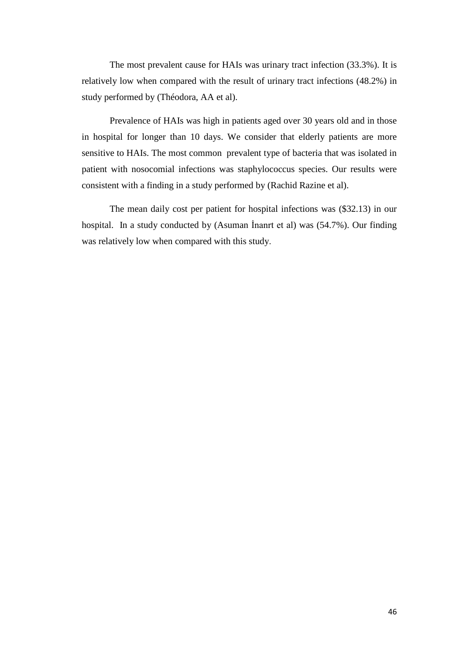The most prevalent cause for HAIs was urinary tract infection (33.3%). It is relatively low when compared with the result of urinary tract infections (48.2%) in study performed by (Théodora, AA et al).

Prevalence of HAIs was high in patients aged over 30 years old and in those in hospital for longer than 10 days. We consider that elderly patients are more sensitive to HAIs. The most common prevalent type of bacteria that was isolated in patient with nosocomial infections was staphylococcus species. Our results were consistent with a finding in a study performed by (Rachid Razine et al).

The mean daily cost per patient for hospital infections was (\$32.13) in our hospital. In a study conducted by (Asuman İnanrt et al) was (54.7%). Our finding was relatively low when compared with this study.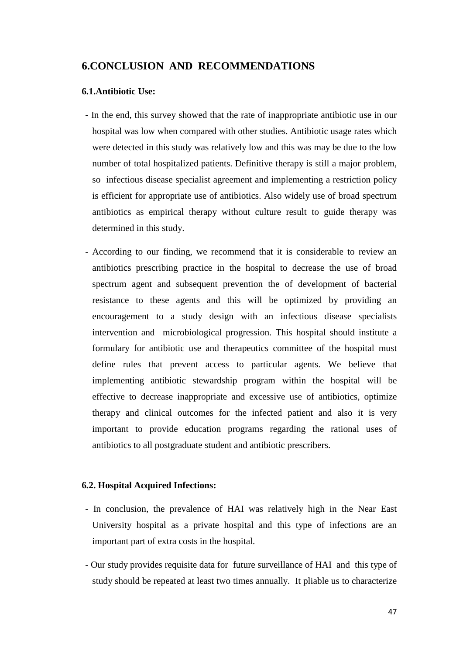## **6.CONCLUSION AND RECOMMENDATIONS**

### **6.1.Antibiotic Use:**

- **-** In the end, this survey showed that the rate of inappropriate antibiotic use in our hospital was low when compared with other studies. Antibiotic usage rates which were detected in this study was relatively low and this was may be due to the low number of total hospitalized patients. Definitive therapy is still a major problem, so infectious disease specialist agreement and implementing a restriction policy is efficient for appropriate use of antibiotics. Also widely use of broad spectrum antibiotics as empirical therapy without culture result to guide therapy was determined in this study.
- According to our finding, we recommend that it is considerable to review an antibiotics prescribing practice in the hospital to decrease the use of broad spectrum agent and subsequent prevention the of development of bacterial resistance to these agents and this will be optimized by providing an encouragement to a study design with an infectious disease specialists intervention and microbiological progression. This hospital should institute a formulary for antibiotic use and therapeutics committee of the hospital must define rules that prevent access to particular agents. We believe that implementing antibiotic stewardship program within the hospital will be effective to decrease inappropriate and excessive use of antibiotics, optimize therapy and clinical outcomes for the infected patient and also it is very important to provide education programs regarding the rational uses of antibiotics to all postgraduate student and antibiotic prescribers.

### **6.2. Hospital Acquired Infections:**

- In conclusion, the prevalence of HAI was relatively high in the Near East University hospital as a private hospital and this type of infections are an important part of extra costs in the hospital.
- Our study provides requisite data for future surveillance of HAI and this type of study should be repeated at least two times annually. It pliable us to characterize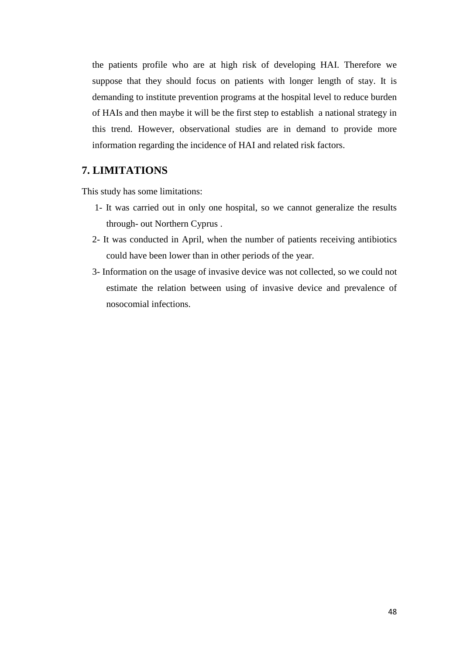the patients profile who are at high risk of developing HAI. Therefore we suppose that they should focus on patients with longer length of stay. It is demanding to institute prevention programs at the hospital level to reduce burden of HAIs and then maybe it will be the first step to establish a national strategy in this trend. However, observational studies are in demand to provide more information regarding the incidence of HAI and related risk factors.

## **7. LIMITATIONS**

This study has some limitations:

- 1- It was carried out in only one hospital, so we cannot generalize the results through- out Northern Cyprus .
- 2- It was conducted in April, when the number of patients receiving antibiotics could have been lower than in other periods of the year.
- 3- Information on the usage of invasive device was not collected, so we could not estimate the relation between using of invasive device and prevalence of nosocomial infections.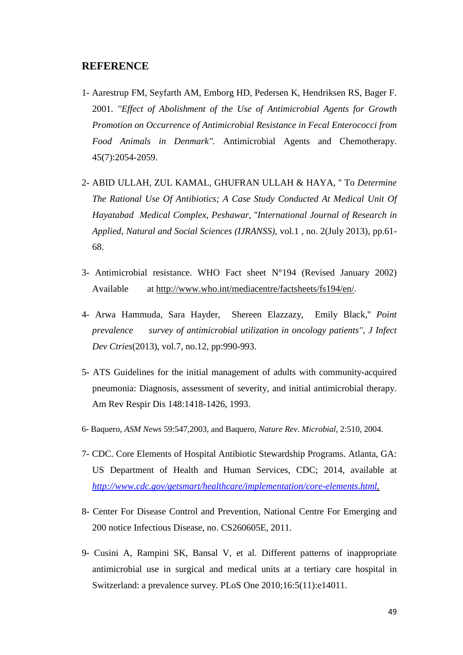## **REFERENCE**

- 1- Aarestrup FM, Seyfarth AM, Emborg HD, Pedersen K, Hendriksen RS, Bager F. 2001. *''Effect of Abolishment of the Use of Antimicrobial Agents for Growth Promotion on Occurrence of Antimicrobial Resistance in Fecal Enterococci from Food Animals in Denmark''.* Antimicrobial Agents and Chemotherapy. 45(7):2054-2059.
- 2- ABID ULLAH, ZUL KAMAL, GHUFRAN ULLAH & HAYA, '' To *Determine The Rational Use Of Antibiotics; A Case Study Conducted At Medical Unit Of Hayatabad Medical Complex, Peshawar*, ''*International Journal of Research in Applied, Natural and Social Sciences (IJRANSS)*, vol.1 , no. 2(July 2013), pp.61- 68.
- 3- Antimicrobial resistance. WHO Fact sheet N°194 (Revised January 2002) Available at <http://www.who.int/mediacentre/factsheets/fs194/en/>.
- 4- Arwa Hammuda, Sara Hayder, Shereen Elazzazy, Emily Black,'' *Point prevalence survey of antimicrobial utilization in oncology patients''*, *J Infect Dev Ctries*(2013), vol.7, no.12, pp:990-993.
- 5- ATS Guidelines for the initial management of adults with community-acquired pneumonia: Diagnosis, assessment of severity, and initial antimicrobial therapy. Am Rev Respir Dis 148:1418-1426, 1993.
- 6- Baquero, *ASM News* 59:547,2003, and Baquero, *Nature Rev*. *Microbial,* 2:510, 2004.
- 7- CDC. Core Elements of Hospital Antibiotic Stewardship Programs. Atlanta, GA: US Department of Health and Human Services, CDC; 2014, available at *[http://www.cdc.gov/getsmart/healthcare/implementation/core-elements.html.](http://www.cdc.gov/getsmart/healthcare/implementation/core-elements.html)*
- 8- Center For Disease Control and Prevention, National Centre For Emerging and 200 notice Infectious Disease, no. CS260605E, 2011.
- 9- Cusini A, Rampini SK, Bansal V, et al. Different patterns of inappropriate antimicrobial use in surgical and medical units at a tertiary care hospital in Switzerland: a prevalence survey. PLoS One 2010;16:5(11):e14011.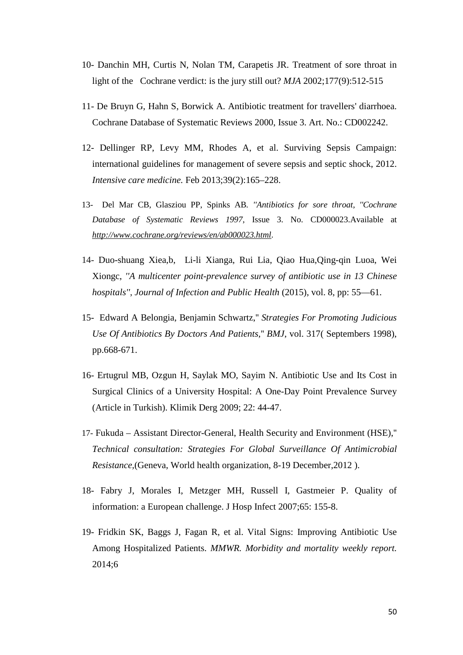- 10- Danchin MH, Curtis N, Nolan TM, Carapetis JR. Treatment of sore throat in light of the Cochrane verdict: is the jury still out? *MJA* 2002;177(9):512-515
- 11- De Bruyn G, Hahn S, Borwick A. Antibiotic treatment for travellers' diarrhoea. Cochrane Database of Systematic Reviews 2000, Issue 3. Art. No.: CD002242.
- 12- Dellinger RP, Levy MM, Rhodes A, et al. Surviving Sepsis Campaign: international guidelines for management of severe sepsis and septic shock, 2012. *Intensive care medicine.* Feb 2013;39(2):165–228.
- 13- Del Mar CB, Glasziou PP, Spinks AB*. ''Antibiotics for sore throat, ''Cochrane Database of Systematic Reviews 1997*, Issue 3. No. CD000023.Available at *<http://www.cochrane.org/reviews/en/ab000023.html>*.
- 14- Duo-shuang Xiea,b, Li-li Xianga, Rui Lia, Qiao Hua,Qing-qin Luoa, Wei Xiongc, *''A multicenter point-prevalence survey of antibiotic use in 13 Chinese hospitals''*, *Journal of Infection and Public Health* (2015), vol. 8, pp: 55—61.
- 15- Edward A Belongia, Benjamin Schwartz,'' *Strategies For Promoting Judicious Use Of Antibiotics By Doctors And Patients,*'' *BMJ*, vol. 317( Septembers 1998), pp.668-671.
- 16- Ertugrul MB, Ozgun H, Saylak MO, Sayim N. Antibiotic Use and Its Cost in Surgical Clinics of a University Hospital: A One-Day Point Prevalence Survey (Article in Turkish). Klimik Derg 2009; 22: 44-47.
- 17- Fukuda Assistant Director-General, Health Security and Environment (HSE),'' *Technical consultation: Strategies For Global Surveillance Of Antimicrobial Resistance,*(Geneva, World health organization, 8-19 December,2012 ).
- 18- Fabry J, Morales I, Metzger MH, Russell I, Gastmeier P. Quality of information: a European challenge. J Hosp Infect 2007;65: 155-8.
- 19- Fridkin SK, Baggs J, Fagan R, et al. Vital Signs: Improving Antibiotic Use Among Hospitalized Patients. *MMWR. Morbidity and mortality weekly report.*  2014;6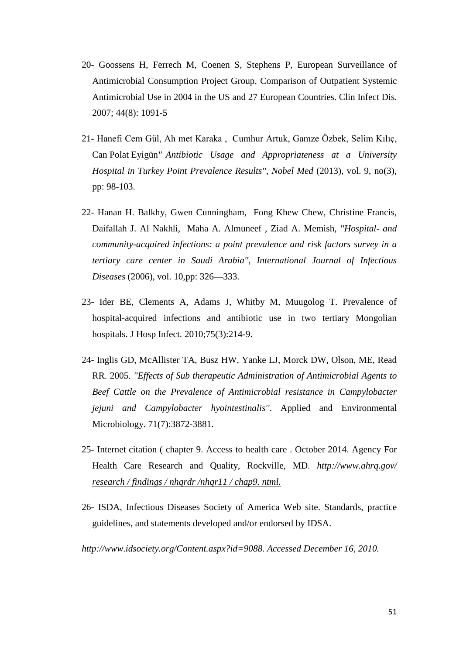- 20- Goossens H, Ferrech M, Coenen S, Stephens P, European Surveillance of Antimicrobial Consumption Project Group. Comparison of Outpatient Systemic Antimicrobial Use in 2004 in the US and 27 European Countries. Clin Infect Dis. 2007; 44(8): 1091-5
- 21- Hanefi Cem Gül, Ah met Karaka , Cumhur Artuk, Gamze Özbek, Selim Kılıç, Can Polat Eyigün*" Antibiotic Usage and Appropriateness at a University Hospital in Turkey Point Prevalence Results''*, *Nobel Med* (2013), vol. 9, no(3), pp: 98-103.
- 22- Hanan H. Balkhy, Gwen Cunningham, Fong Khew Chew, Christine Francis, Daifallah J. Al Nakhli, Maha A. Almuneef , Ziad A. Memish, *''Hospital- and community-acquired infections: a point prevalence and risk factors survey in a tertiary care center in Saudi Arabia''*, *International Journal of Infectious Diseases* (2006), vol. 10,pp: 326—333.
- 23- Ider BE, Clements A, Adams J, Whitby M, Muugolog T. Prevalence of hospital-acquired infections and antibiotic use in two tertiary Mongolian hospitals. J Hosp Infect. 2010;75(3):214-9.
- 24- Inglis GD, McAllister TA, Busz HW, Yanke LJ, Morck DW, Olson, ME, Read RR. 2005. *''Effects of Sub therapeutic Administration of Antimicrobial Agents to Beef Cattle on the Prevalence of Antimicrobial resistance in Campylobacter jejuni and Campylobacter hyointestinalis''*. Applied and Environmental Microbiology. 71(7):3872-3881.
- 25- Internet citation ( chapter 9. Access to health care . October 2014. Agency For Health Care Research and Quality, Rockville, MD. *http://www.ahrq.gov/ research / findings / nhqrdr /nhqr11 / chap9. ntml.*
- 26- ISDA, Infectious Diseases Society of America Web site. Standards, practice guidelines, and statements developed and/or endorsed by IDSA.

*http://www.idsociety.org/Content.aspx?id=9088. Accessed December 16, 2010.*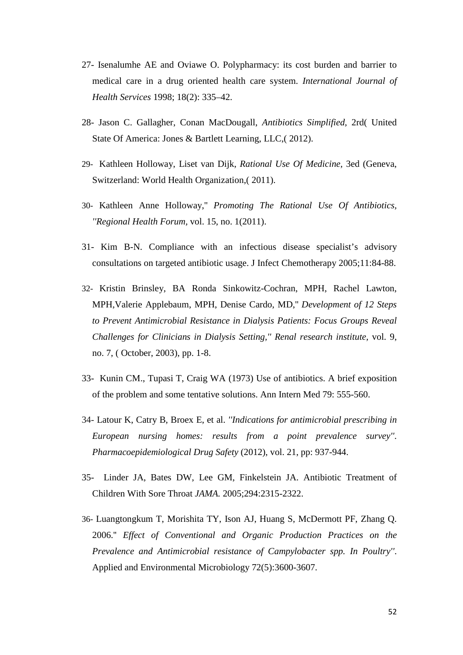- 27- Isenalumhe AE and Oviawe O. Polypharmacy: its cost burden and barrier to medical care in a drug oriented health care system. *International Journal of Health Services* 1998; 18(2): 335–42.
- 28- Jason C. Gallagher, Conan MacDougall, *Antibiotics Simplified*, 2rd( United State Of America: Jones & Bartlett Learning, LLC,( 2012).
- 29- Kathleen Holloway, Liset van Dijk, *Rational Use Of Medicine,* 3ed (Geneva, Switzerland: World Health Organization,( 2011).
- 30- Kathleen Anne Holloway,'' *Promoting The Rational Use Of Antibiotics, ''Regional Health Forum,* vol. 15, no. 1(2011).
- 31- Kim B-N. Compliance with an infectious disease specialist's advisory consultations on targeted antibiotic usage. J Infect Chemotherapy 2005;11:84-88.
- 32- Kristin Brinsley, BA Ronda Sinkowitz-Cochran, MPH, Rachel Lawton, MPH,Valerie Applebaum, MPH, Denise Cardo, MD,'' *Development of 12 Steps to Prevent Antimicrobial Resistance in Dialysis Patients: Focus Groups Reveal Challenges for Clinicians in Dialysis Setting,'' Renal research institute,* vol. 9, no. 7, ( October, 2003), pp. 1-8.
- 33- Kunin CM., Tupasi T, Craig WA (1973) Use of antibiotics. A brief exposition of the problem and some tentative solutions. Ann Intern Med 79: 555-560.
- 34- Latour K, Catry B, Broex E, et al. *''Indications for antimicrobial prescribing in European nursing homes: results from a point prevalence survey''*. *Pharmacoepidemiological Drug Safety* (2012), vol. 21, pp: 937-944.
- 35- Linder JA, Bates DW, Lee GM, Finkelstein JA. Antibiotic Treatment of Children With Sore Throat *JAMA.* 2005;294:2315-2322.
- 36- Luangtongkum T, Morishita TY, Ison AJ, Huang S, McDermott PF, Zhang Q. 2006.'' *Effect of Conventional and Organic Production Practices on the Prevalence and Antimicrobial resistance of Campylobacter spp. In Poultry''*. Applied and Environmental Microbiology 72(5):3600-3607.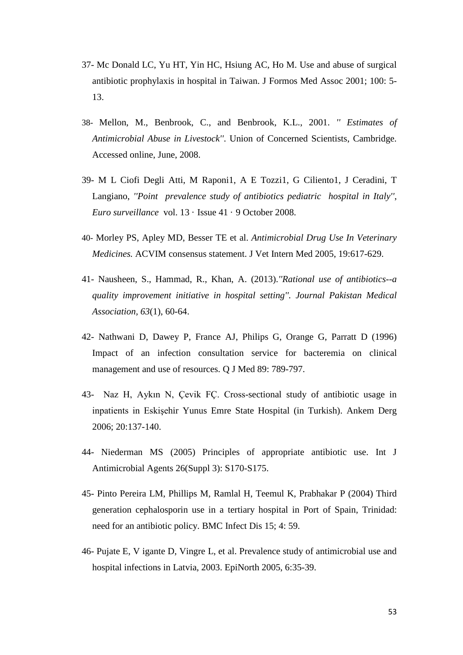- 37- Mc Donald LC, Yu HT, Yin HC, Hsiung AC, Ho M. Use and abuse of surgical antibiotic prophylaxis in hospital in Taiwan. J Formos Med Assoc 2001; 100: 5- 13.
- 38- Mellon, M., Benbrook, C., and Benbrook, K.L., 2001. *'' Estimates of Antimicrobial Abuse in Livestock''*. Union of Concerned Scientists, Cambridge. Accessed online, June, 2008.
- 39- M L Ciofi Degli Atti, M Raponi1, A E Tozzi1, G Ciliento1, J Ceradini, T Langiano, *''Point prevalence study of antibiotics pediatric hospital in Italy''*, *Euro surveillance* vol. 13 · Issue 41 · 9 October 2008.
- 40- Morley PS, Apley MD, Besser TE et al. *Antimicrobial Drug Use In Veterinary Medicines.* ACVIM consensus statement. J Vet Intern Med 2005, 19:617-629.
- 41- Nausheen, S., Hammad, R., Khan, A. (2013).*''Rational use of antibiotics--a quality improvement initiative in hospital setting''. Journal Pakistan Medical Association, 63*(1), 60-64.
- 42- Nathwani D, Dawey P, France AJ, Philips G, Orange G, Parratt D (1996) Impact of an infection consultation service for bacteremia on clinical management and use of resources. Q J Med 89: 789-797.
- 43- Naz H, Aykın N, Çevik FÇ. Cross-sectional study of antibiotic usage in inpatients in Eskişehir Yunus Emre State Hospital (in Turkish). Ankem Derg 2006; 20:137-140.
- 44- Niederman MS (2005) Principles of appropriate antibiotic use. Int J Antimicrobial Agents 26(Suppl 3): S170-S175.
- 45- Pinto Pereira LM, Phillips M, Ramlal H, Teemul K, Prabhakar P (2004) Third generation cephalosporin use in a tertiary hospital in Port of Spain, Trinidad: need for an antibiotic policy. BMC Infect Dis 15; 4: 59.
- 46- Pujate E, V igante D, Vingre L, et al. Prevalence study of antimicrobial use and hospital infections in Latvia, 2003. EpiNorth 2005, 6:35-39.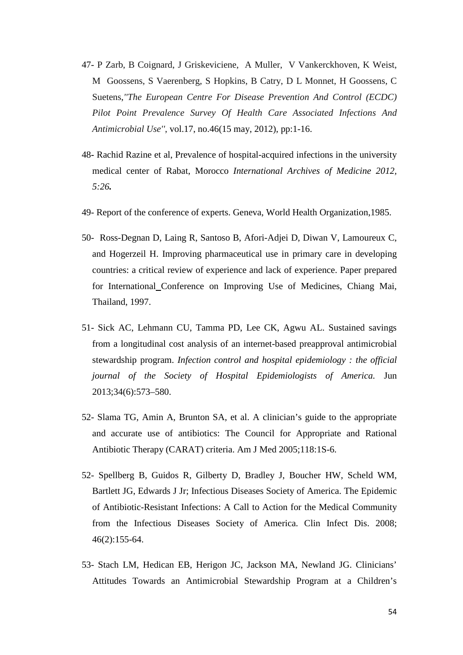- 47- P Zarb, B Coignard, J Griskeviciene, A Muller, V Vankerckhoven, K Weist, M Goossens, S Vaerenberg, S Hopkins, B Catry, D L Monnet, H Goossens, C Suetens,*''The European Centre For Disease Prevention And Control (ECDC) Pilot Point Prevalence Survey Of Health Care Associated Infections And Antimicrobial Use''*, vol.17, no.46(15 may, 2012), pp:1-16.
- 48**-** Rachid Razine et al, Prevalence of hospital-acquired infections in the university medical center of Rabat, Morocco *International Archives of Medicine 2012, 5:26.*
- 49- Report of the conference of experts. Geneva, World Health Organization,1985.
- 50- Ross-Degnan D, Laing R, Santoso B, Afori-Adjei D, Diwan V, Lamoureux C, and Hogerzeil H. Improving pharmaceutical use in primary care in developing countries: a critical review of experience and lack of experience. Paper prepared for International Conference on Improving Use of Medicines, Chiang Mai, Thailand, 1997.
- 51- Sick AC, Lehmann CU, Tamma PD, Lee CK, Agwu AL. Sustained savings from a longitudinal cost analysis of an internet-based preapproval antimicrobial stewardship program. *Infection control and hospital epidemiology : the official journal of the Society of Hospital Epidemiologists of America.* Jun 2013;34(6):573–580.
- 52- Slama TG, Amin A, Brunton SA, et al. A clinician's guide to the appropriate and accurate use of antibiotics: The Council for Appropriate and Rational Antibiotic Therapy (CARAT) criteria. Am J Med 2005;118:1S-6.
- 52- Spellberg B, Guidos R, Gilberty D, Bradley J, Boucher HW, Scheld WM, Bartlett JG, Edwards J Jr; Infectious Diseases Society of America. The Epidemic of Antibiotic-Resistant Infections: A Call to Action for the Medical Community from the Infectious Diseases Society of America. Clin Infect Dis. 2008; 46(2):155-64.
- 53- Stach LM, Hedican EB, Herigon JC, Jackson MA, Newland JG. Clinicians' Attitudes Towards an Antimicrobial Stewardship Program at a Children's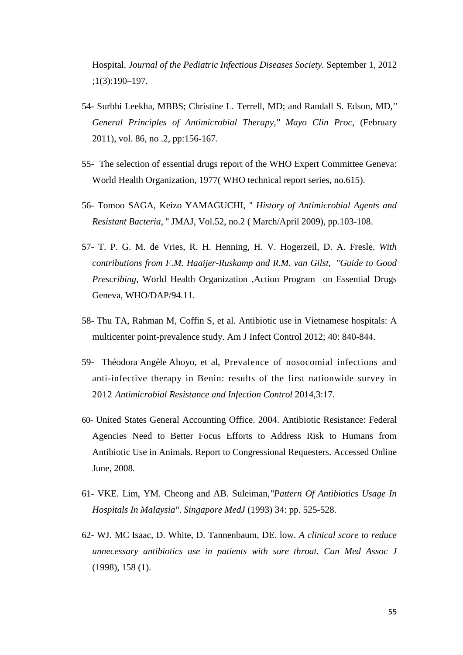Hospital. *Journal of the Pediatric Infectious Diseases Society.* September 1, 2012 ;1(3):190–197.

- 54- Surbhi Leekha, MBBS; Christine L. Terrell, MD; and Randall S. Edson, MD,*'' General Principles of Antimicrobial Therapy,'' Mayo Clin Proc,* (February 2011), vol. 86, no .2, pp:156-167.
- 55- The selection of essential drugs report of the WHO Expert Committee Geneva: World Health Organization, 1977( WHO technical report series, no.615).
- 56- Tomoo SAGA, Keizo YAMAGUCHI, '' *History of Antimicrobial Agents and Resistant Bacteria,* '' JMAJ, Vol.52, no.2 ( March/April 2009), pp.103-108.
- 57- T. P. G. M. de Vries, R. H. Henning, H. V. Hogerzeil, D. A. Fresle. *With contributions from F.M. Haaijer-Ruskamp and R.M. van Gilst*, ''*Guide to Good Prescribing,* World Health Organization ,Action Program on Essential Drugs Geneva, WHO/DAP/94.11.
- 58- Thu TA, Rahman M, Coffin S, et al. Antibiotic use in Vietnamese hospitals: A multicenter point-prevalence study. Am J Infect Control 2012; 40: 840-844.
- 59**-** Théodora Angèle Ahoyo, et al, Prevalence of nosocomial infections and anti-infective therapy in Benin: results of the first nationwide survey in 2012 *Antimicrobial Resistance and Infection Control* 2014,3:17.
- 60- United States General Accounting Office. 2004. Antibiotic Resistance: Federal Agencies Need to Better Focus Efforts to Address Risk to Humans from Antibiotic Use in Animals. Report to Congressional Requesters. Accessed Online June, 2008.
- 61- VKE. Lim, YM. Cheong and AB. Suleiman,*''Pattern Of Antibiotics Usage In Hospitals In Malaysia''*. *Singapore MedJ* (1993) 34: pp. 525-528.
- 62- WJ. MC Isaac, D. White, D. Tannenbaum, DE. low. *A clinical score to reduce unnecessary antibiotics use in patients with sore throat. Can Med Assoc J* (1998), 158 (1).